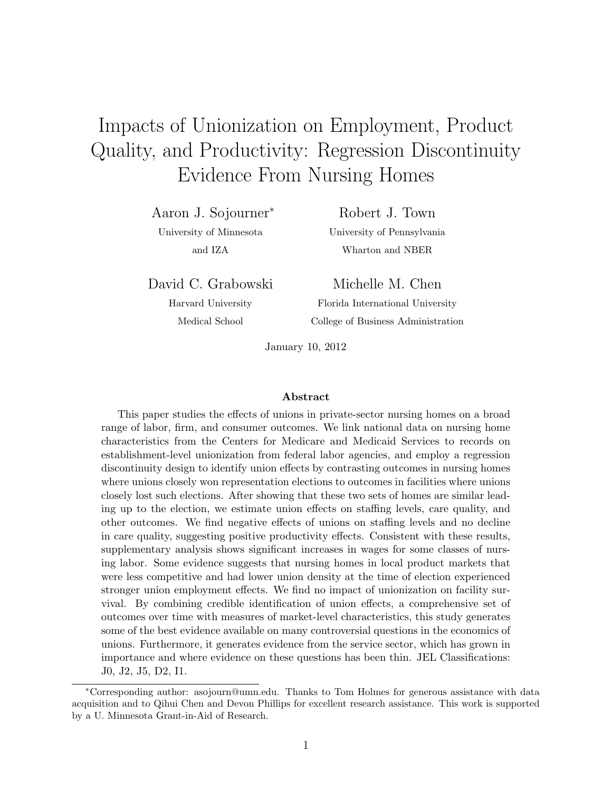# Impacts of Unionization on Employment, Product Quality, and Productivity: Regression Discontinuity Evidence From Nursing Homes

Aaron J. Sojourner<sup>∗</sup> University of Minnesota and IZA

Robert J. Town University of Pennsylvania Wharton and NBER

David C. Grabowski

Harvard University Medical School

Michelle M. Chen Florida International University College of Business Administration

January 10, 2012

#### Abstract

This paper studies the effects of unions in private-sector nursing homes on a broad range of labor, firm, and consumer outcomes. We link national data on nursing home characteristics from the Centers for Medicare and Medicaid Services to records on establishment-level unionization from federal labor agencies, and employ a regression discontinuity design to identify union effects by contrasting outcomes in nursing homes where unions closely won representation elections to outcomes in facilities where unions closely lost such elections. After showing that these two sets of homes are similar leading up to the election, we estimate union effects on staffing levels, care quality, and other outcomes. We find negative effects of unions on staffing levels and no decline in care quality, suggesting positive productivity effects. Consistent with these results, supplementary analysis shows significant increases in wages for some classes of nursing labor. Some evidence suggests that nursing homes in local product markets that were less competitive and had lower union density at the time of election experienced stronger union employment effects. We find no impact of unionization on facility survival. By combining credible identification of union effects, a comprehensive set of outcomes over time with measures of market-level characteristics, this study generates some of the best evidence available on many controversial questions in the economics of unions. Furthermore, it generates evidence from the service sector, which has grown in importance and where evidence on these questions has been thin. JEL Classifications: J0, J2, J5, D2, I1.

<sup>∗</sup>Corresponding author: asojourn@umn.edu. Thanks to Tom Holmes for generous assistance with data acquisition and to Qihui Chen and Devon Phillips for excellent research assistance. This work is supported by a U. Minnesota Grant-in-Aid of Research.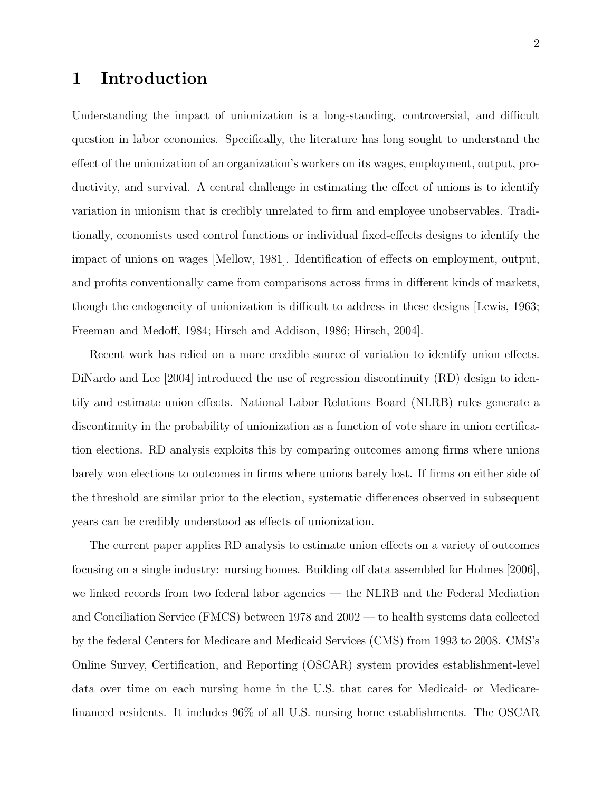### 1 Introduction

Understanding the impact of unionization is a long-standing, controversial, and difficult question in labor economics. Specifically, the literature has long sought to understand the effect of the unionization of an organization's workers on its wages, employment, output, productivity, and survival. A central challenge in estimating the effect of unions is to identify variation in unionism that is credibly unrelated to firm and employee unobservables. Traditionally, economists used control functions or individual fixed-effects designs to identify the impact of unions on wages [\[Mellow,](#page-35-0) [1981\]](#page-35-0). Identification of effects on employment, output, and profits conventionally came from comparisons across firms in different kinds of markets, though the endogeneity of unionization is difficult to address in these designs [\[Lewis,](#page-35-1) [1963;](#page-35-1) [Freeman and Medoff,](#page-33-0) [1984;](#page-33-0) [Hirsch and Addison,](#page-34-0) [1986;](#page-34-0) [Hirsch,](#page-34-1) [2004\]](#page-34-1).

Recent work has relied on a more credible source of variation to identify union effects. [DiNardo and Lee](#page-33-1) [\[2004\]](#page-33-1) introduced the use of regression discontinuity (RD) design to identify and estimate union effects. National Labor Relations Board (NLRB) rules generate a discontinuity in the probability of unionization as a function of vote share in union certification elections. RD analysis exploits this by comparing outcomes among firms where unions barely won elections to outcomes in firms where unions barely lost. If firms on either side of the threshold are similar prior to the election, systematic differences observed in subsequent years can be credibly understood as effects of unionization.

The current paper applies RD analysis to estimate union effects on a variety of outcomes focusing on a single industry: nursing homes. Building off data assembled for [Holmes](#page-34-2) [\[2006\]](#page-34-2), we linked records from two federal labor agencies — the NLRB and the Federal Mediation and Conciliation Service (FMCS) between 1978 and 2002 — to health systems data collected by the federal Centers for Medicare and Medicaid Services (CMS) from 1993 to 2008. CMS's Online Survey, Certification, and Reporting (OSCAR) system provides establishment-level data over time on each nursing home in the U.S. that cares for Medicaid- or Medicarefinanced residents. It includes 96% of all U.S. nursing home establishments. The OSCAR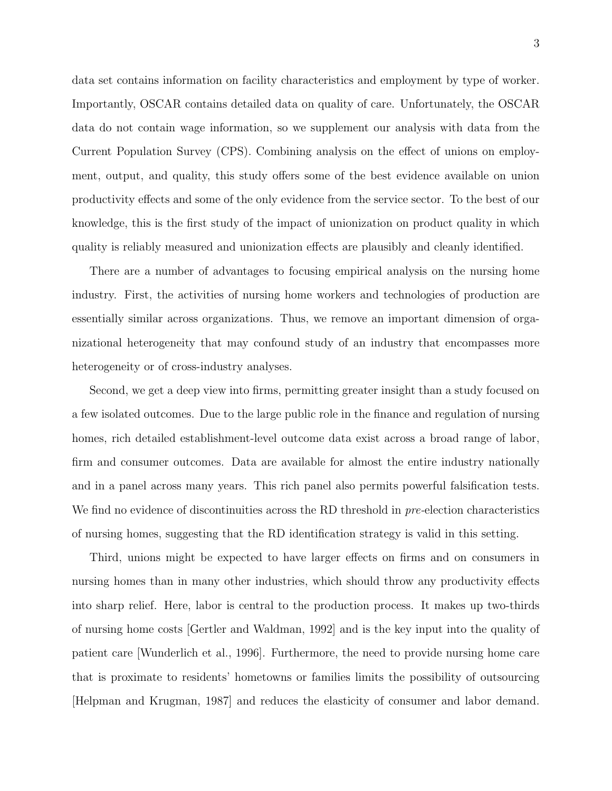data set contains information on facility characteristics and employment by type of worker. Importantly, OSCAR contains detailed data on quality of care. Unfortunately, the OSCAR data do not contain wage information, so we supplement our analysis with data from the Current Population Survey (CPS). Combining analysis on the effect of unions on employment, output, and quality, this study offers some of the best evidence available on union productivity effects and some of the only evidence from the service sector. To the best of our knowledge, this is the first study of the impact of unionization on product quality in which quality is reliably measured and unionization effects are plausibly and cleanly identified.

There are a number of advantages to focusing empirical analysis on the nursing home industry. First, the activities of nursing home workers and technologies of production are essentially similar across organizations. Thus, we remove an important dimension of organizational heterogeneity that may confound study of an industry that encompasses more heterogeneity or of cross-industry analyses.

Second, we get a deep view into firms, permitting greater insight than a study focused on a few isolated outcomes. Due to the large public role in the finance and regulation of nursing homes, rich detailed establishment-level outcome data exist across a broad range of labor, firm and consumer outcomes. Data are available for almost the entire industry nationally and in a panel across many years. This rich panel also permits powerful falsification tests. We find no evidence of discontinuities across the RD threshold in *pre*-election characteristics of nursing homes, suggesting that the RD identification strategy is valid in this setting.

Third, unions might be expected to have larger effects on firms and on consumers in nursing homes than in many other industries, which should throw any productivity effects into sharp relief. Here, labor is central to the production process. It makes up two-thirds of nursing home costs [\[Gertler and Waldman,](#page-33-2) [1992\]](#page-33-2) and is the key input into the quality of patient care [\[Wunderlich et al.,](#page-36-0) [1996\]](#page-36-0). Furthermore, the need to provide nursing home care that is proximate to residents' hometowns or families limits the possibility of outsourcing [\[Helpman and Krugman,](#page-34-3) [1987\]](#page-34-3) and reduces the elasticity of consumer and labor demand.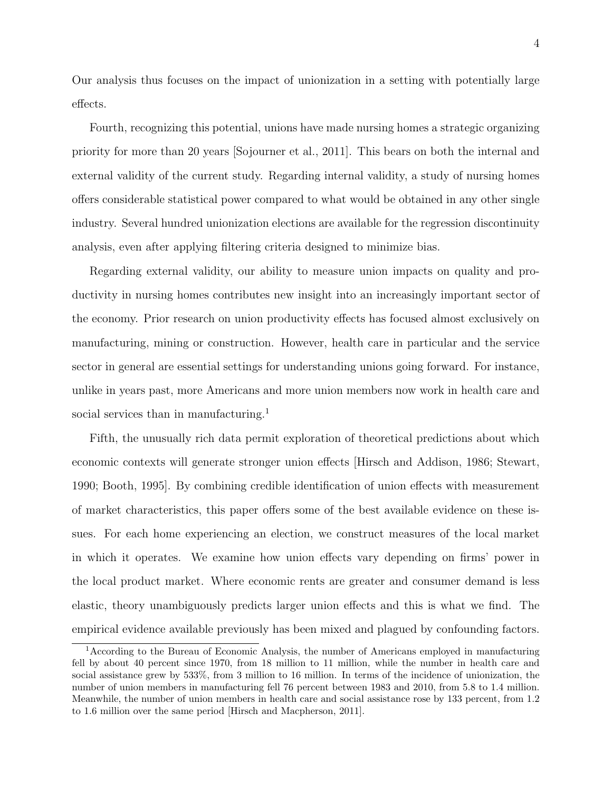Our analysis thus focuses on the impact of unionization in a setting with potentially large effects.

Fourth, recognizing this potential, unions have made nursing homes a strategic organizing priority for more than 20 years [\[Sojourner et al.,](#page-36-1) [2011\]](#page-36-1). This bears on both the internal and external validity of the current study. Regarding internal validity, a study of nursing homes offers considerable statistical power compared to what would be obtained in any other single industry. Several hundred unionization elections are available for the regression discontinuity analysis, even after applying filtering criteria designed to minimize bias.

Regarding external validity, our ability to measure union impacts on quality and productivity in nursing homes contributes new insight into an increasingly important sector of the economy. Prior research on union productivity effects has focused almost exclusively on manufacturing, mining or construction. However, health care in particular and the service sector in general are essential settings for understanding unions going forward. For instance, unlike in years past, more Americans and more union members now work in health care and social services than in manufacturing.<sup>[1](#page-3-0)</sup>

Fifth, the unusually rich data permit exploration of theoretical predictions about which economic contexts will generate stronger union effects [\[Hirsch and Addison,](#page-34-0) [1986;](#page-34-0) [Stewart,](#page-36-2) [1990;](#page-36-2) [Booth,](#page-32-0) [1995\]](#page-32-0). By combining credible identification of union effects with measurement of market characteristics, this paper offers some of the best available evidence on these issues. For each home experiencing an election, we construct measures of the local market in which it operates. We examine how union effects vary depending on firms' power in the local product market. Where economic rents are greater and consumer demand is less elastic, theory unambiguously predicts larger union effects and this is what we find. The empirical evidence available previously has been mixed and plagued by confounding factors.

<span id="page-3-0"></span><sup>1</sup>According to the Bureau of Economic Analysis, the number of Americans employed in manufacturing fell by about 40 percent since 1970, from 18 million to 11 million, while the number in health care and social assistance grew by 533%, from 3 million to 16 million. In terms of the incidence of unionization, the number of union members in manufacturing fell 76 percent between 1983 and 2010, from 5.8 to 1.4 million. Meanwhile, the number of union members in health care and social assistance rose by 133 percent, from 1.2 to 1.6 million over the same period [\[Hirsch and Macpherson,](#page-34-4) [2011\]](#page-34-4).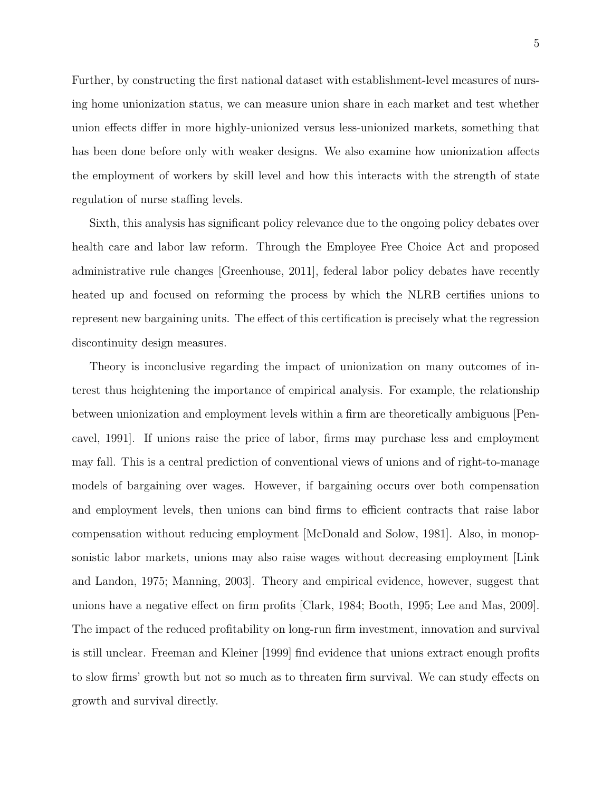Further, by constructing the first national dataset with establishment-level measures of nursing home unionization status, we can measure union share in each market and test whether union effects differ in more highly-unionized versus less-unionized markets, something that has been done before only with weaker designs. We also examine how unionization affects the employment of workers by skill level and how this interacts with the strength of state regulation of nurse staffing levels.

Sixth, this analysis has significant policy relevance due to the ongoing policy debates over health care and labor law reform. Through the Employee Free Choice Act and proposed administrative rule changes [\[Greenhouse,](#page-33-3) [2011\]](#page-33-3), federal labor policy debates have recently heated up and focused on reforming the process by which the NLRB certifies unions to represent new bargaining units. The effect of this certification is precisely what the regression discontinuity design measures.

Theory is inconclusive regarding the impact of unionization on many outcomes of interest thus heightening the importance of empirical analysis. For example, the relationship between unionization and employment levels within a firm are theoretically ambiguous [\[Pen](#page-35-2)[cavel,](#page-35-2) [1991\]](#page-35-2). If unions raise the price of labor, firms may purchase less and employment may fall. This is a central prediction of conventional views of unions and of right-to-manage models of bargaining over wages. However, if bargaining occurs over both compensation and employment levels, then unions can bind firms to efficient contracts that raise labor compensation without reducing employment [\[McDonald and Solow,](#page-35-3) [1981\]](#page-35-3). Also, in monopsonistic labor markets, unions may also raise wages without decreasing employment [\[Link](#page-35-4) [and Landon,](#page-35-4) [1975;](#page-35-4) [Manning,](#page-35-5) [2003\]](#page-35-5). Theory and empirical evidence, however, suggest that unions have a negative effect on firm profits [\[Clark,](#page-32-1) [1984;](#page-32-1) [Booth,](#page-32-0) [1995;](#page-32-0) [Lee and Mas,](#page-34-5) [2009\]](#page-34-5). The impact of the reduced profitability on long-run firm investment, innovation and survival is still unclear. [Freeman and Kleiner](#page-33-4) [\[1999\]](#page-33-4) find evidence that unions extract enough profits to slow firms' growth but not so much as to threaten firm survival. We can study effects on growth and survival directly.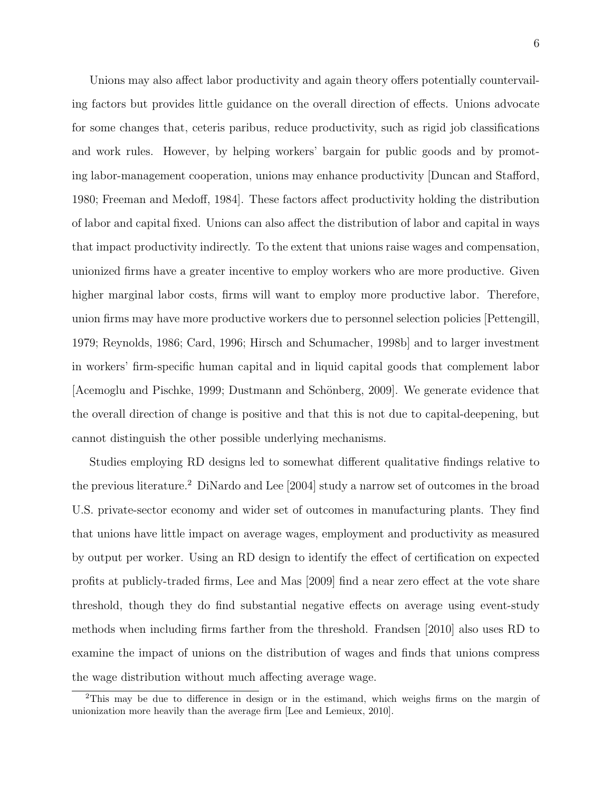Unions may also affect labor productivity and again theory offers potentially countervailing factors but provides little guidance on the overall direction of effects. Unions advocate for some changes that, ceteris paribus, reduce productivity, such as rigid job classifications and work rules. However, by helping workers' bargain for public goods and by promoting labor-management cooperation, unions may enhance productivity [\[Duncan and Stafford,](#page-33-5) [1980;](#page-33-5) [Freeman and Medoff,](#page-33-0) [1984\]](#page-33-0). These factors affect productivity holding the distribution of labor and capital fixed. Unions can also affect the distribution of labor and capital in ways that impact productivity indirectly. To the extent that unions raise wages and compensation, unionized firms have a greater incentive to employ workers who are more productive. Given higher marginal labor costs, firms will want to employ more productive labor. Therefore, union firms may have more productive workers due to personnel selection policies [\[Pettengill,](#page-35-6) [1979;](#page-35-6) [Reynolds,](#page-36-3) [1986;](#page-36-3) [Card,](#page-32-2) [1996;](#page-32-2) [Hirsch and Schumacher,](#page-34-6) [1998b\]](#page-34-6) and to larger investment in workers' firm-specific human capital and in liquid capital goods that complement labor [\[Acemoglu and Pischke,](#page-32-3) [1999;](#page-32-3) Dustmann and Schönberg, [2009\]](#page-33-6). We generate evidence that the overall direction of change is positive and that this is not due to capital-deepening, but cannot distinguish the other possible underlying mechanisms.

Studies employing RD designs led to somewhat different qualitative findings relative to the previous literature.[2](#page-5-0) [DiNardo and Lee](#page-33-1) [\[2004\]](#page-33-1) study a narrow set of outcomes in the broad U.S. private-sector economy and wider set of outcomes in manufacturing plants. They find that unions have little impact on average wages, employment and productivity as measured by output per worker. Using an RD design to identify the effect of certification on expected profits at publicly-traded firms, [Lee and Mas](#page-34-5) [\[2009\]](#page-34-5) find a near zero effect at the vote share threshold, though they do find substantial negative effects on average using event-study methods when including firms farther from the threshold. [Frandsen](#page-33-7) [\[2010\]](#page-33-7) also uses RD to examine the impact of unions on the distribution of wages and finds that unions compress the wage distribution without much affecting average wage.

<span id="page-5-0"></span><sup>2</sup>This may be due to difference in design or in the estimand, which weighs firms on the margin of unionization more heavily than the average firm [\[Lee and Lemieux,](#page-34-7) [2010\]](#page-34-7).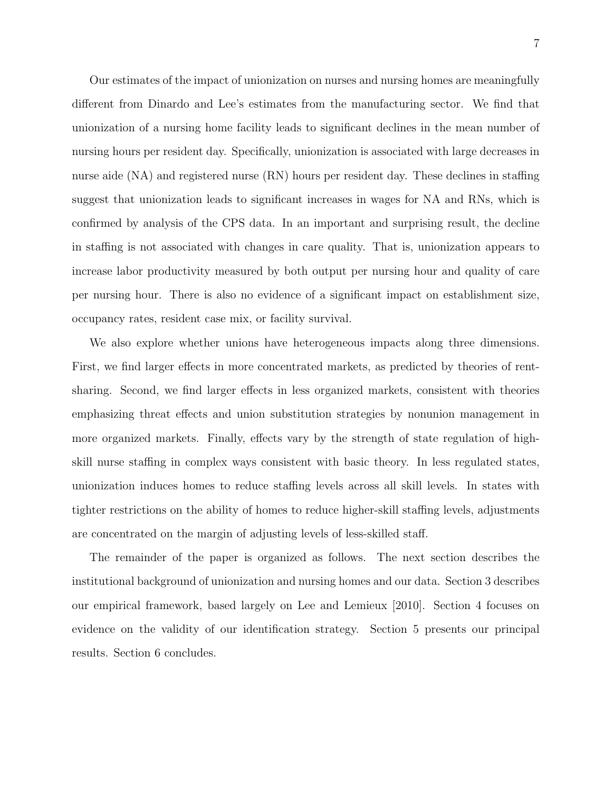Our estimates of the impact of unionization on nurses and nursing homes are meaningfully different from Dinardo and Lee's estimates from the manufacturing sector. We find that unionization of a nursing home facility leads to significant declines in the mean number of nursing hours per resident day. Specifically, unionization is associated with large decreases in nurse aide (NA) and registered nurse (RN) hours per resident day. These declines in staffing suggest that unionization leads to significant increases in wages for NA and RNs, which is confirmed by analysis of the CPS data. In an important and surprising result, the decline in staffing is not associated with changes in care quality. That is, unionization appears to increase labor productivity measured by both output per nursing hour and quality of care per nursing hour. There is also no evidence of a significant impact on establishment size, occupancy rates, resident case mix, or facility survival.

We also explore whether unions have heterogeneous impacts along three dimensions. First, we find larger effects in more concentrated markets, as predicted by theories of rentsharing. Second, we find larger effects in less organized markets, consistent with theories emphasizing threat effects and union substitution strategies by nonunion management in more organized markets. Finally, effects vary by the strength of state regulation of highskill nurse staffing in complex ways consistent with basic theory. In less regulated states, unionization induces homes to reduce staffing levels across all skill levels. In states with tighter restrictions on the ability of homes to reduce higher-skill staffing levels, adjustments are concentrated on the margin of adjusting levels of less-skilled staff.

The remainder of the paper is organized as follows. The next section describes the institutional background of unionization and nursing homes and our data. Section 3 describes our empirical framework, based largely on [Lee and Lemieux](#page-34-7) [\[2010\]](#page-34-7). Section 4 focuses on evidence on the validity of our identification strategy. Section 5 presents our principal results. Section 6 concludes.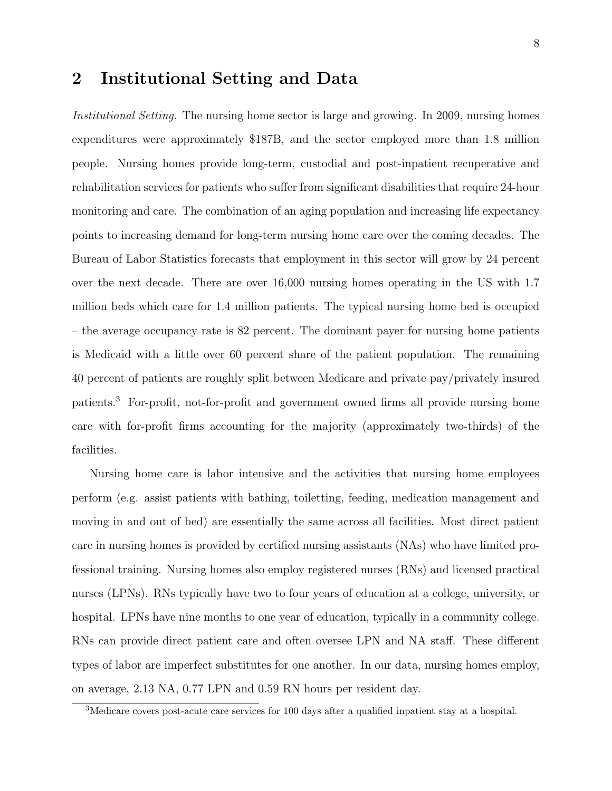### 2 Institutional Setting and Data

Institutional Setting. The nursing home sector is large and growing. In 2009, nursing homes expenditures were approximately \$187B, and the sector employed more than 1.8 million people. Nursing homes provide long-term, custodial and post-inpatient recuperative and rehabilitation services for patients who suffer from significant disabilities that require 24-hour monitoring and care. The combination of an aging population and increasing life expectancy points to increasing demand for long-term nursing home care over the coming decades. The Bureau of Labor Statistics forecasts that employment in this sector will grow by 24 percent over the next decade. There are over 16,000 nursing homes operating in the US with 1.7 million beds which care for 1.4 million patients. The typical nursing home bed is occupied – the average occupancy rate is 82 percent. The dominant payer for nursing home patients is Medicaid with a little over 60 percent share of the patient population. The remaining 40 percent of patients are roughly split between Medicare and private pay/privately insured patients.[3](#page-7-0) For-profit, not-for-profit and government owned firms all provide nursing home care with for-profit firms accounting for the majority (approximately two-thirds) of the facilities.

Nursing home care is labor intensive and the activities that nursing home employees perform (e.g. assist patients with bathing, toiletting, feeding, medication management and moving in and out of bed) are essentially the same across all facilities. Most direct patient care in nursing homes is provided by certified nursing assistants (NAs) who have limited professional training. Nursing homes also employ registered nurses (RNs) and licensed practical nurses (LPNs). RNs typically have two to four years of education at a college, university, or hospital. LPNs have nine months to one year of education, typically in a community college. RNs can provide direct patient care and often oversee LPN and NA staff. These different types of labor are imperfect substitutes for one another. In our data, nursing homes employ, on average, 2.13 NA, 0.77 LPN and 0.59 RN hours per resident day.

<span id="page-7-0"></span><sup>3</sup>Medicare covers post-acute care services for 100 days after a qualified inpatient stay at a hospital.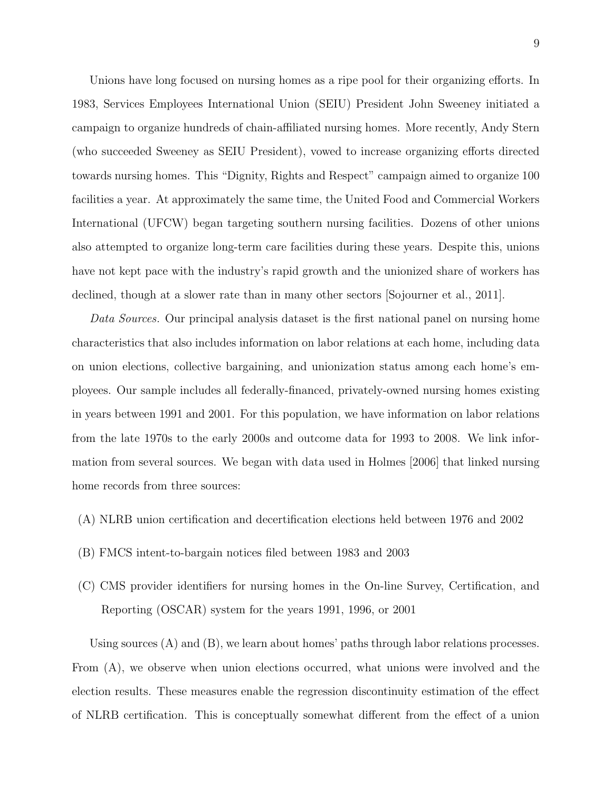Unions have long focused on nursing homes as a ripe pool for their organizing efforts. In 1983, Services Employees International Union (SEIU) President John Sweeney initiated a campaign to organize hundreds of chain-affiliated nursing homes. More recently, Andy Stern (who succeeded Sweeney as SEIU President), vowed to increase organizing efforts directed towards nursing homes. This "Dignity, Rights and Respect" campaign aimed to organize 100 facilities a year. At approximately the same time, the United Food and Commercial Workers International (UFCW) began targeting southern nursing facilities. Dozens of other unions also attempted to organize long-term care facilities during these years. Despite this, unions have not kept pace with the industry's rapid growth and the unionized share of workers has declined, though at a slower rate than in many other sectors [\[Sojourner et al.,](#page-36-1) [2011\]](#page-36-1).

Data Sources. Our principal analysis dataset is the first national panel on nursing home characteristics that also includes information on labor relations at each home, including data on union elections, collective bargaining, and unionization status among each home's employees. Our sample includes all federally-financed, privately-owned nursing homes existing in years between 1991 and 2001. For this population, we have information on labor relations from the late 1970s to the early 2000s and outcome data for 1993 to 2008. We link information from several sources. We began with data used in [Holmes](#page-34-2) [\[2006\]](#page-34-2) that linked nursing home records from three sources:

- (A) NLRB union certification and decertification elections held between 1976 and 2002
- (B) FMCS intent-to-bargain notices filed between 1983 and 2003
- (C) CMS provider identifiers for nursing homes in the On-line Survey, Certification, and Reporting (OSCAR) system for the years 1991, 1996, or 2001

Using sources (A) and (B), we learn about homes' paths through labor relations processes. From (A), we observe when union elections occurred, what unions were involved and the election results. These measures enable the regression discontinuity estimation of the effect of NLRB certification. This is conceptually somewhat different from the effect of a union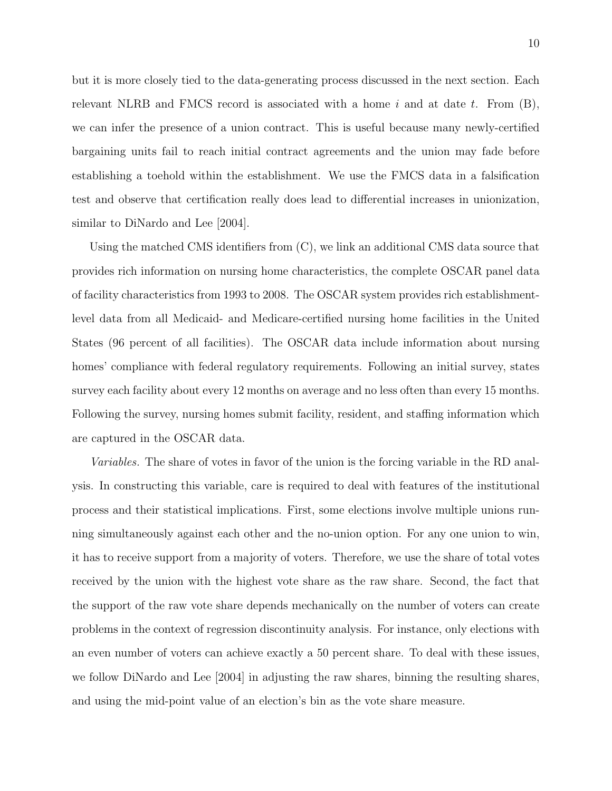but it is more closely tied to the data-generating process discussed in the next section. Each relevant NLRB and FMCS record is associated with a home  $i$  and at date  $t$ . From  $(B)$ , we can infer the presence of a union contract. This is useful because many newly-certified bargaining units fail to reach initial contract agreements and the union may fade before establishing a toehold within the establishment. We use the FMCS data in a falsification test and observe that certification really does lead to differential increases in unionization, similar to [DiNardo and Lee](#page-33-1) [\[2004\]](#page-33-1).

Using the matched CMS identifiers from (C), we link an additional CMS data source that provides rich information on nursing home characteristics, the complete OSCAR panel data of facility characteristics from 1993 to 2008. The OSCAR system provides rich establishmentlevel data from all Medicaid- and Medicare-certified nursing home facilities in the United States (96 percent of all facilities). The OSCAR data include information about nursing homes' compliance with federal regulatory requirements. Following an initial survey, states survey each facility about every 12 months on average and no less often than every 15 months. Following the survey, nursing homes submit facility, resident, and staffing information which are captured in the OSCAR data.

Variables. The share of votes in favor of the union is the forcing variable in the RD analysis. In constructing this variable, care is required to deal with features of the institutional process and their statistical implications. First, some elections involve multiple unions running simultaneously against each other and the no-union option. For any one union to win, it has to receive support from a majority of voters. Therefore, we use the share of total votes received by the union with the highest vote share as the raw share. Second, the fact that the support of the raw vote share depends mechanically on the number of voters can create problems in the context of regression discontinuity analysis. For instance, only elections with an even number of voters can achieve exactly a 50 percent share. To deal with these issues, we follow [DiNardo and Lee](#page-33-1) [\[2004\]](#page-33-1) in adjusting the raw shares, binning the resulting shares, and using the mid-point value of an election's bin as the vote share measure.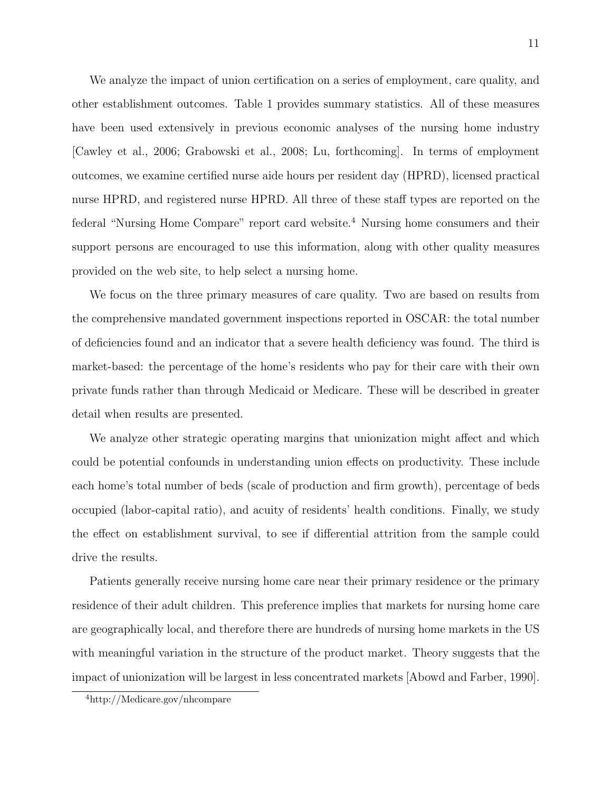We analyze the impact of union certification on a series of employment, care quality, and other establishment outcomes. Table [1](#page-37-0) provides summary statistics. All of these measures have been used extensively in previous economic analyses of the nursing home industry [\[Cawley et al.,](#page-32-4) [2006;](#page-32-4) [Grabowski et al.,](#page-33-8) [2008;](#page-33-8) [Lu,](#page-35-7) [forthcoming\]](#page-35-7). In terms of employment outcomes, we examine certified nurse aide hours per resident day (HPRD), licensed practical nurse HPRD, and registered nurse HPRD. All three of these staff types are reported on the federal "Nursing Home Compare" report card website.[4](#page-10-0) Nursing home consumers and their support persons are encouraged to use this information, along with other quality measures provided on the web site, to help select a nursing home.

We focus on the three primary measures of care quality. Two are based on results from the comprehensive mandated government inspections reported in OSCAR: the total number of deficiencies found and an indicator that a severe health deficiency was found. The third is market-based: the percentage of the home's residents who pay for their care with their own private funds rather than through Medicaid or Medicare. These will be described in greater detail when results are presented.

We analyze other strategic operating margins that unionization might affect and which could be potential confounds in understanding union effects on productivity. These include each home's total number of beds (scale of production and firm growth), percentage of beds occupied (labor-capital ratio), and acuity of residents' health conditions. Finally, we study the effect on establishment survival, to see if differential attrition from the sample could drive the results.

Patients generally receive nursing home care near their primary residence or the primary residence of their adult children. This preference implies that markets for nursing home care are geographically local, and therefore there are hundreds of nursing home markets in the US with meaningful variation in the structure of the product market. Theory suggests that the impact of unionization will be largest in less concentrated markets [\[Abowd and Farber,](#page-32-5) [1990\]](#page-32-5).

<span id="page-10-0"></span><sup>4</sup>http://Medicare.gov/nhcompare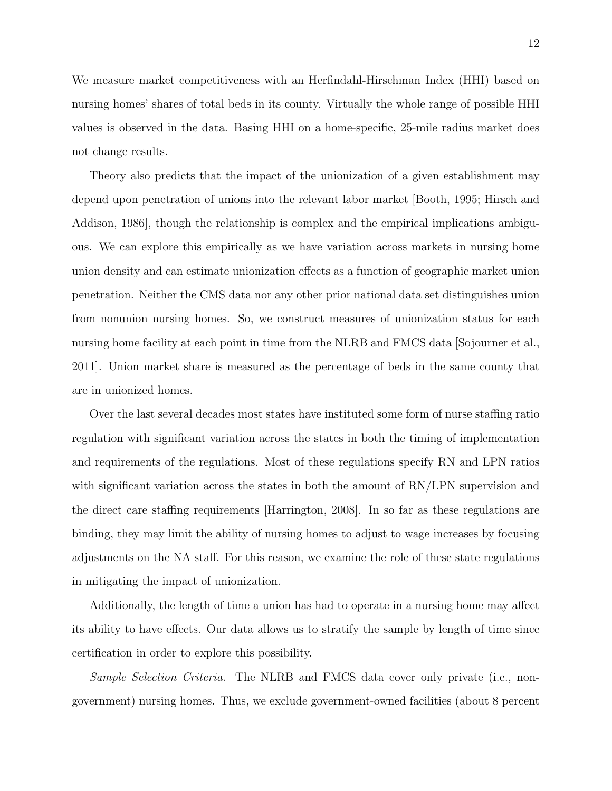We measure market competitiveness with an Herfindahl-Hirschman Index (HHI) based on nursing homes' shares of total beds in its county. Virtually the whole range of possible HHI values is observed in the data. Basing HHI on a home-specific, 25-mile radius market does not change results.

Theory also predicts that the impact of the unionization of a given establishment may depend upon penetration of unions into the relevant labor market [\[Booth,](#page-32-0) [1995;](#page-32-0) [Hirsch and](#page-34-0) [Addison,](#page-34-0) [1986\]](#page-34-0), though the relationship is complex and the empirical implications ambiguous. We can explore this empirically as we have variation across markets in nursing home union density and can estimate unionization effects as a function of geographic market union penetration. Neither the CMS data nor any other prior national data set distinguishes union from nonunion nursing homes. So, we construct measures of unionization status for each nursing home facility at each point in time from the NLRB and FMCS data [\[Sojourner et al.,](#page-36-1) [2011\]](#page-36-1). Union market share is measured as the percentage of beds in the same county that are in unionized homes.

Over the last several decades most states have instituted some form of nurse staffing ratio regulation with significant variation across the states in both the timing of implementation and requirements of the regulations. Most of these regulations specify RN and LPN ratios with significant variation across the states in both the amount of  $RN/LPN$  supervision and the direct care staffing requirements [\[Harrington,](#page-33-9) [2008\]](#page-33-9). In so far as these regulations are binding, they may limit the ability of nursing homes to adjust to wage increases by focusing adjustments on the NA staff. For this reason, we examine the role of these state regulations in mitigating the impact of unionization.

Additionally, the length of time a union has had to operate in a nursing home may affect its ability to have effects. Our data allows us to stratify the sample by length of time since certification in order to explore this possibility.

Sample Selection Criteria. The NLRB and FMCS data cover only private (i.e., nongovernment) nursing homes. Thus, we exclude government-owned facilities (about 8 percent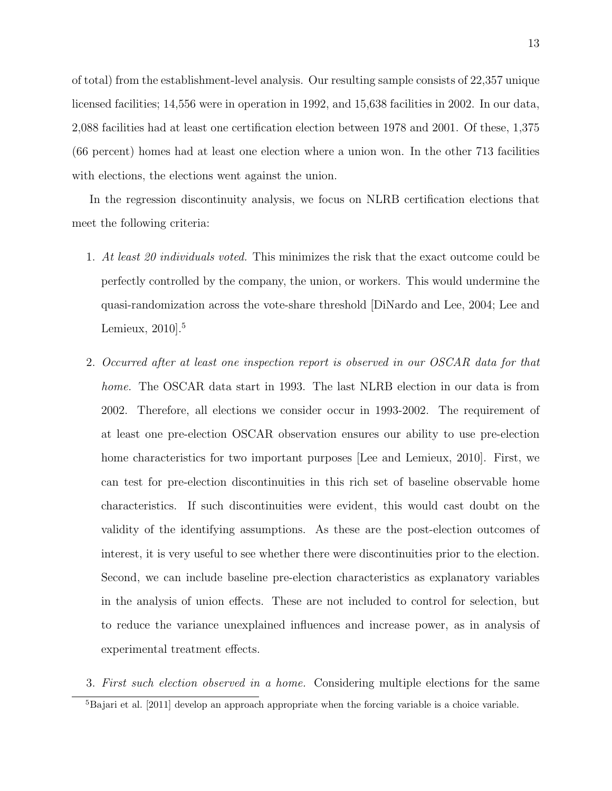of total) from the establishment-level analysis. Our resulting sample consists of 22,357 unique licensed facilities; 14,556 were in operation in 1992, and 15,638 facilities in 2002. In our data, 2,088 facilities had at least one certification election between 1978 and 2001. Of these, 1,375 (66 percent) homes had at least one election where a union won. In the other 713 facilities with elections, the elections went against the union.

In the regression discontinuity analysis, we focus on NLRB certification elections that meet the following criteria:

- 1. At least 20 individuals voted. This minimizes the risk that the exact outcome could be perfectly controlled by the company, the union, or workers. This would undermine the quasi-randomization across the vote-share threshold [\[DiNardo and Lee,](#page-33-1) [2004;](#page-33-1) [Lee and](#page-34-7) [Lemieux,](#page-34-7)  $2010$ <sup>[5](#page-12-0)</sup>
- 2. Occurred after at least one inspection report is observed in our OSCAR data for that home. The OSCAR data start in 1993. The last NLRB election in our data is from 2002. Therefore, all elections we consider occur in 1993-2002. The requirement of at least one pre-election OSCAR observation ensures our ability to use pre-election home characteristics for two important purposes [\[Lee and Lemieux,](#page-34-7) [2010\]](#page-34-7). First, we can test for pre-election discontinuities in this rich set of baseline observable home characteristics. If such discontinuities were evident, this would cast doubt on the validity of the identifying assumptions. As these are the post-election outcomes of interest, it is very useful to see whether there were discontinuities prior to the election. Second, we can include baseline pre-election characteristics as explanatory variables in the analysis of union effects. These are not included to control for selection, but to reduce the variance unexplained influences and increase power, as in analysis of experimental treatment effects.
- <span id="page-12-0"></span>3. First such election observed in a home. Considering multiple elections for the same  ${}^{5}$ [Bajari et al.](#page-32-6) [\[2011\]](#page-32-6) develop an approach appropriate when the forcing variable is a choice variable.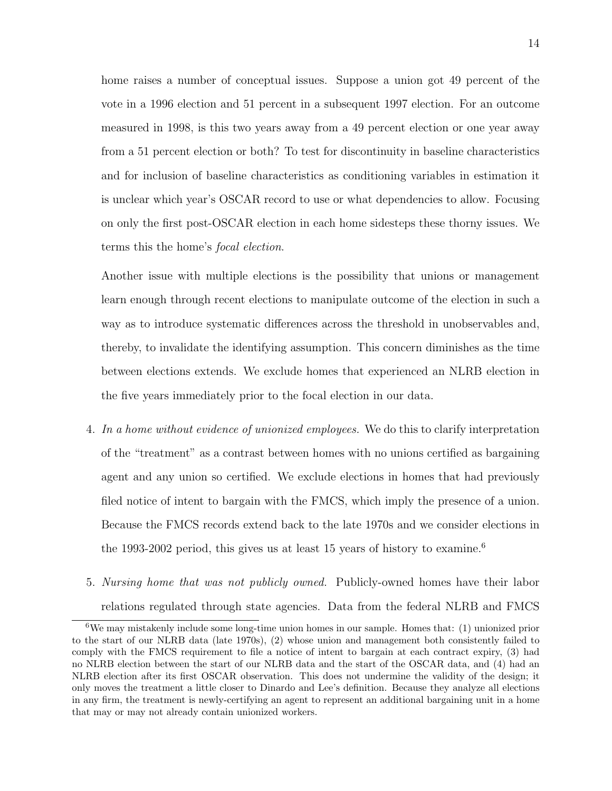home raises a number of conceptual issues. Suppose a union got 49 percent of the vote in a 1996 election and 51 percent in a subsequent 1997 election. For an outcome measured in 1998, is this two years away from a 49 percent election or one year away from a 51 percent election or both? To test for discontinuity in baseline characteristics and for inclusion of baseline characteristics as conditioning variables in estimation it is unclear which year's OSCAR record to use or what dependencies to allow. Focusing on only the first post-OSCAR election in each home sidesteps these thorny issues. We terms this the home's focal election.

Another issue with multiple elections is the possibility that unions or management learn enough through recent elections to manipulate outcome of the election in such a way as to introduce systematic differences across the threshold in unobservables and, thereby, to invalidate the identifying assumption. This concern diminishes as the time between elections extends. We exclude homes that experienced an NLRB election in the five years immediately prior to the focal election in our data.

- 4. In a home without evidence of unionized employees. We do this to clarify interpretation of the "treatment" as a contrast between homes with no unions certified as bargaining agent and any union so certified. We exclude elections in homes that had previously filed notice of intent to bargain with the FMCS, which imply the presence of a union. Because the FMCS records extend back to the late 1970s and we consider elections in the 1993-2002 period, this gives us at least 15 years of history to examine.<sup>[6](#page-13-0)</sup>
- 5. Nursing home that was not publicly owned. Publicly-owned homes have their labor relations regulated through state agencies. Data from the federal NLRB and FMCS

<span id="page-13-0"></span> $6$ We may mistakenly include some long-time union homes in our sample. Homes that: (1) unionized prior to the start of our NLRB data (late 1970s), (2) whose union and management both consistently failed to comply with the FMCS requirement to file a notice of intent to bargain at each contract expiry, (3) had no NLRB election between the start of our NLRB data and the start of the OSCAR data, and (4) had an NLRB election after its first OSCAR observation. This does not undermine the validity of the design; it only moves the treatment a little closer to Dinardo and Lee's definition. Because they analyze all elections in any firm, the treatment is newly-certifying an agent to represent an additional bargaining unit in a home that may or may not already contain unionized workers.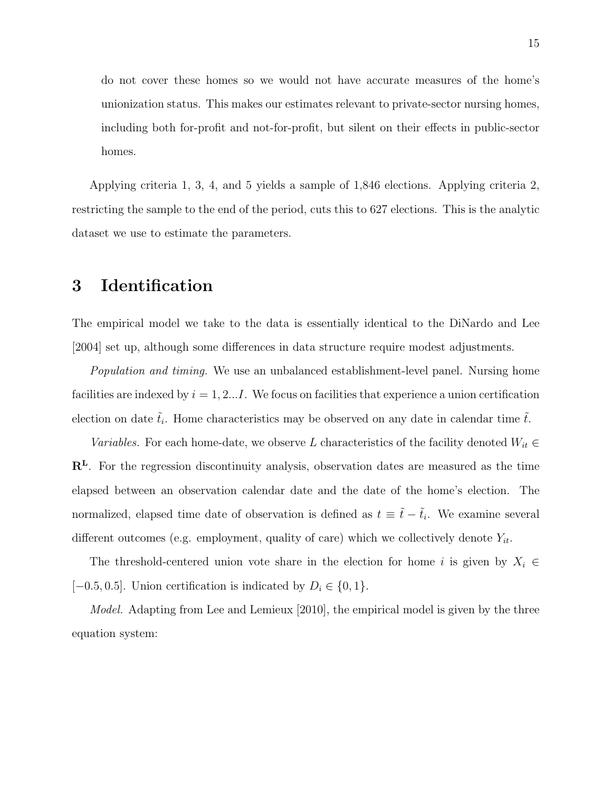do not cover these homes so we would not have accurate measures of the home's unionization status. This makes our estimates relevant to private-sector nursing homes, including both for-profit and not-for-profit, but silent on their effects in public-sector homes.

Applying criteria 1, 3, 4, and 5 yields a sample of 1,846 elections. Applying criteria 2, restricting the sample to the end of the period, cuts this to 627 elections. This is the analytic dataset we use to estimate the parameters.

### 3 Identification

The empirical model we take to the data is essentially identical to the [DiNardo and Lee](#page-33-1) [\[2004\]](#page-33-1) set up, although some differences in data structure require modest adjustments.

Population and timing. We use an unbalanced establishment-level panel. Nursing home facilities are indexed by  $i = 1, 2...I$ . We focus on facilities that experience a union certification election on date  $\tilde{t}_i$ . Home characteristics may be observed on any date in calendar time  $\tilde{t}$ .

Variables. For each home-date, we observe L characteristics of the facility denoted  $W_{it} \in$ R<sup>L</sup>. For the regression discontinuity analysis, observation dates are measured as the time elapsed between an observation calendar date and the date of the home's election. The normalized, elapsed time date of observation is defined as  $t \equiv \tilde{t} - \tilde{t}_i$ . We examine several different outcomes (e.g. employment, quality of care) which we collectively denote  $Y_{it}$ .

The threshold-centered union vote share in the election for home i is given by  $X_i \in$ [−0.5, 0.5]. Union certification is indicated by  $D_i \in \{0, 1\}$ .

Model. Adapting from [Lee and Lemieux](#page-34-7) [\[2010\]](#page-34-7), the empirical model is given by the three equation system: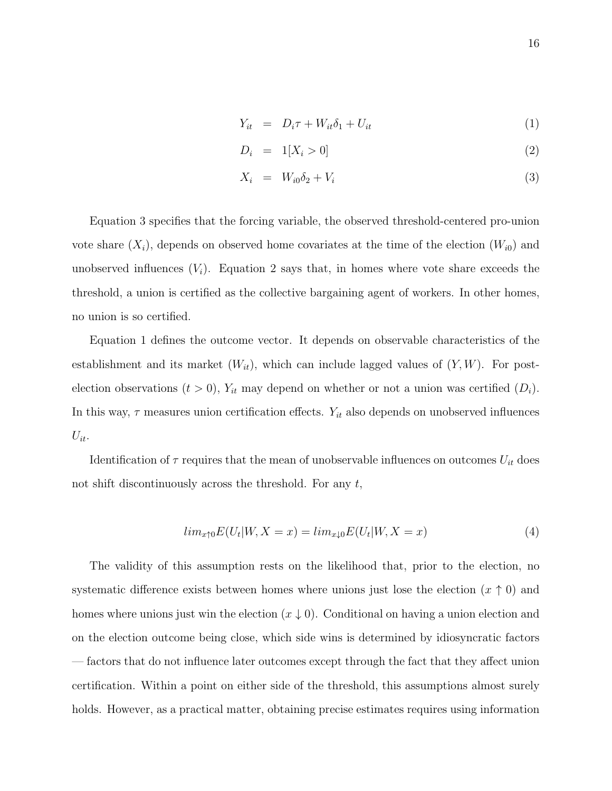<span id="page-15-0"></span>
$$
Y_{it} = D_i \tau + W_{it} \delta_1 + U_{it} \tag{1}
$$

$$
D_i = 1[X_i > 0] \tag{2}
$$

$$
X_i = W_{i0} \delta_2 + V_i \tag{3}
$$

Equation [3](#page-15-0) specifies that the forcing variable, the observed threshold-centered pro-union vote share  $(X_i)$ , depends on observed home covariates at the time of the election  $(W_{i0})$  and unobserved influences  $(V_i)$ . Equation [2](#page-15-0) says that, in homes where vote share exceeds the threshold, a union is certified as the collective bargaining agent of workers. In other homes, no union is so certified.

Equation [1](#page-15-0) defines the outcome vector. It depends on observable characteristics of the establishment and its market  $(W_{it})$ , which can include lagged values of  $(Y, W)$ . For postelection observations  $(t > 0)$ ,  $Y_{it}$  may depend on whether or not a union was certified  $(D_i)$ . In this way,  $\tau$  measures union certification effects.  $Y_{it}$  also depends on unobserved influences  $U_{it}$ .

Identification of  $\tau$  requires that the mean of unobservable influences on outcomes  $U_{it}$  does not shift discontinuously across the threshold. For any  $t$ ,

$$
lim_{x \uparrow 0} E(U_t|W, X = x) = lim_{x \downarrow 0} E(U_t|W, X = x)
$$
\n<sup>(4)</sup>

The validity of this assumption rests on the likelihood that, prior to the election, no systematic difference exists between homes where unions just lose the election  $(x \uparrow 0)$  and homes where unions just win the election  $(x \downarrow 0)$ . Conditional on having a union election and on the election outcome being close, which side wins is determined by idiosyncratic factors — factors that do not influence later outcomes except through the fact that they affect union certification. Within a point on either side of the threshold, this assumptions almost surely holds. However, as a practical matter, obtaining precise estimates requires using information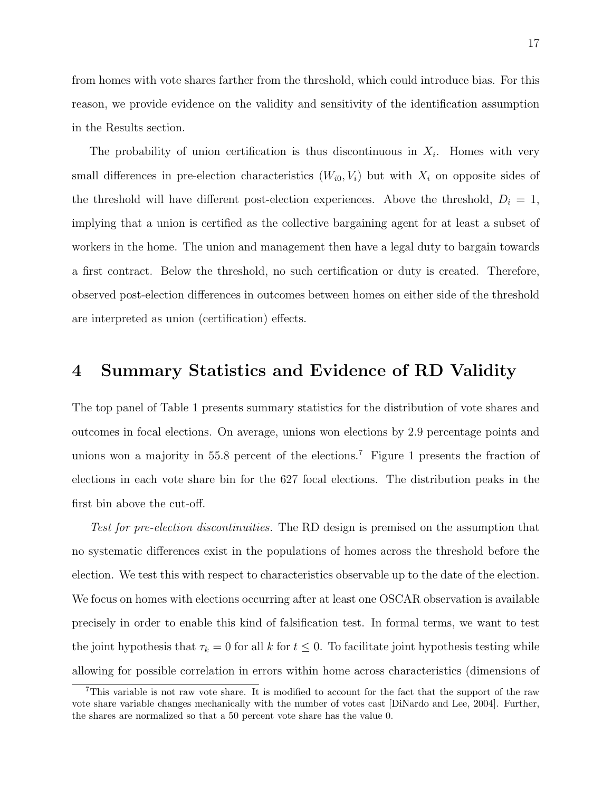from homes with vote shares farther from the threshold, which could introduce bias. For this reason, we provide evidence on the validity and sensitivity of the identification assumption in the Results section.

The probability of union certification is thus discontinuous in  $X_i$ . Homes with very small differences in pre-election characteristics  $(W_{i0}, V_i)$  but with  $X_i$  on opposite sides of the threshold will have different post-election experiences. Above the threshold,  $D_i = 1$ , implying that a union is certified as the collective bargaining agent for at least a subset of workers in the home. The union and management then have a legal duty to bargain towards a first contract. Below the threshold, no such certification or duty is created. Therefore, observed post-election differences in outcomes between homes on either side of the threshold are interpreted as union (certification) effects.

### 4 Summary Statistics and Evidence of RD Validity

The top panel of Table [1](#page-37-0) presents summary statistics for the distribution of vote shares and outcomes in focal elections. On average, unions won elections by 2.9 percentage points and unions won a majority in 55.8 percent of the elections.[7](#page-16-0) Figure [1](#page-46-0) presents the fraction of elections in each vote share bin for the 627 focal elections. The distribution peaks in the first bin above the cut-off.

Test for pre-election discontinuities. The RD design is premised on the assumption that no systematic differences exist in the populations of homes across the threshold before the election. We test this with respect to characteristics observable up to the date of the election. We focus on homes with elections occurring after at least one OSCAR observation is available precisely in order to enable this kind of falsification test. In formal terms, we want to test the joint hypothesis that  $\tau_k = 0$  for all k for  $t \leq 0$ . To facilitate joint hypothesis testing while allowing for possible correlation in errors within home across characteristics (dimensions of

<span id="page-16-0"></span><sup>7</sup>This variable is not raw vote share. It is modified to account for the fact that the support of the raw vote share variable changes mechanically with the number of votes cast [\[DiNardo and Lee,](#page-33-1) [2004\]](#page-33-1). Further, the shares are normalized so that a 50 percent vote share has the value 0.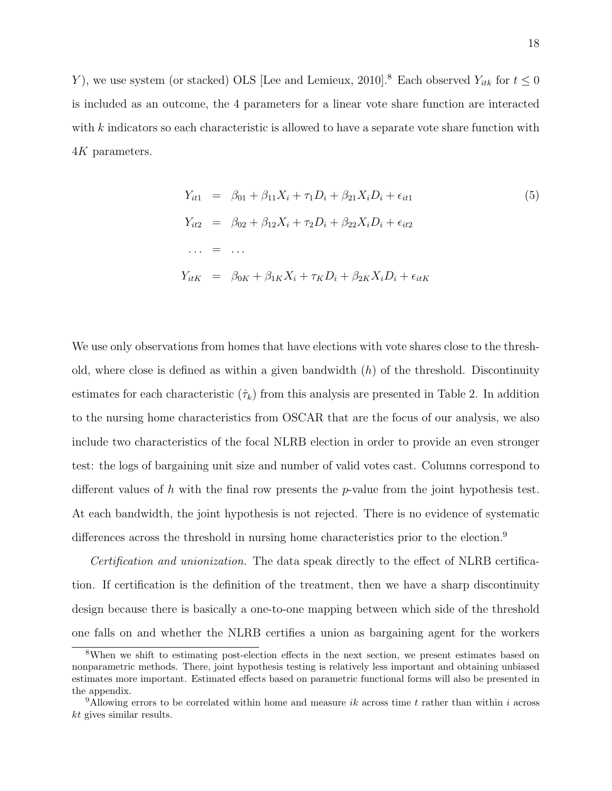Y), we use system (or stacked) OLS [\[Lee and Lemieux,](#page-34-7) [2010\]](#page-34-7).<sup>[8](#page-17-0)</sup> Each observed  $Y_{itk}$  for  $t \leq 0$ is included as an outcome, the 4 parameters for a linear vote share function are interacted with  $k$  indicators so each characteristic is allowed to have a separate vote share function with 4K parameters.

<span id="page-17-2"></span>
$$
Y_{it1} = \beta_{01} + \beta_{11}X_i + \tau_1 D_i + \beta_{21}X_i D_i + \epsilon_{it1}
$$
  
\n
$$
Y_{it2} = \beta_{02} + \beta_{12}X_i + \tau_2 D_i + \beta_{22}X_i D_i + \epsilon_{it2}
$$
  
\n... = ...  
\n
$$
Y_{itK} = \beta_{0K} + \beta_{1K}X_i + \tau_K D_i + \beta_{2K}X_i D_i + \epsilon_{itK}
$$
  
\n(5)

We use only observations from homes that have elections with vote shares close to the threshold, where close is defined as within a given bandwidth  $(h)$  of the threshold. Discontinuity estimates for each characteristic  $(\hat{\tau}_k)$  from this analysis are presented in Table [2.](#page-38-0) In addition to the nursing home characteristics from OSCAR that are the focus of our analysis, we also include two characteristics of the focal NLRB election in order to provide an even stronger test: the logs of bargaining unit size and number of valid votes cast. Columns correspond to different values of h with the final row presents the p-value from the joint hypothesis test. At each bandwidth, the joint hypothesis is not rejected. There is no evidence of systematic differences across the threshold in nursing home characteristics prior to the election.<sup>[9](#page-17-1)</sup>

Certification and unionization. The data speak directly to the effect of NLRB certification. If certification is the definition of the treatment, then we have a sharp discontinuity design because there is basically a one-to-one mapping between which side of the threshold one falls on and whether the NLRB certifies a union as bargaining agent for the workers

<span id="page-17-0"></span><sup>&</sup>lt;sup>8</sup>When we shift to estimating post-election effects in the next section, we present estimates based on nonparametric methods. There, joint hypothesis testing is relatively less important and obtaining unbiased estimates more important. Estimated effects based on parametric functional forms will also be presented in the appendix.

<span id="page-17-1"></span><sup>&</sup>lt;sup>9</sup>Allowing errors to be correlated within home and measure  $ik$  across time t rather than within i across  $kt$  gives similar results.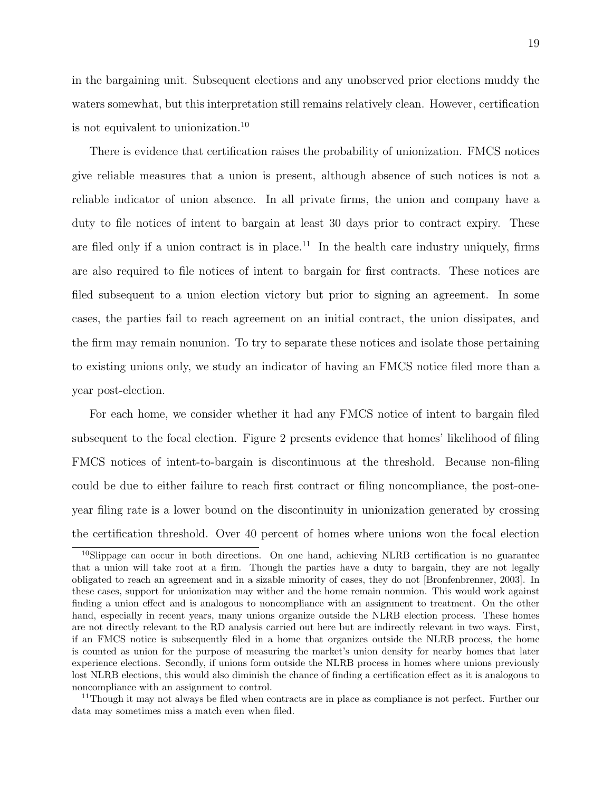in the bargaining unit. Subsequent elections and any unobserved prior elections muddy the waters somewhat, but this interpretation still remains relatively clean. However, certification is not equivalent to unionization.[10](#page-18-0)

There is evidence that certification raises the probability of unionization. FMCS notices give reliable measures that a union is present, although absence of such notices is not a reliable indicator of union absence. In all private firms, the union and company have a duty to file notices of intent to bargain at least 30 days prior to contract expiry. These are filed only if a union contract is in place.<sup>[11](#page-18-1)</sup> In the health care industry uniquely, firms are also required to file notices of intent to bargain for first contracts. These notices are filed subsequent to a union election victory but prior to signing an agreement. In some cases, the parties fail to reach agreement on an initial contract, the union dissipates, and the firm may remain nonunion. To try to separate these notices and isolate those pertaining to existing unions only, we study an indicator of having an FMCS notice filed more than a year post-election.

For each home, we consider whether it had any FMCS notice of intent to bargain filed subsequent to the focal election. Figure [2](#page-47-0) presents evidence that homes' likelihood of filing FMCS notices of intent-to-bargain is discontinuous at the threshold. Because non-filing could be due to either failure to reach first contract or filing noncompliance, the post-oneyear filing rate is a lower bound on the discontinuity in unionization generated by crossing the certification threshold. Over 40 percent of homes where unions won the focal election

<span id="page-18-0"></span><sup>10</sup>Slippage can occur in both directions. On one hand, achieving NLRB certification is no guarantee that a union will take root at a firm. Though the parties have a duty to bargain, they are not legally obligated to reach an agreement and in a sizable minority of cases, they do not [\[Bronfenbrenner,](#page-32-7) [2003\]](#page-32-7). In these cases, support for unionization may wither and the home remain nonunion. This would work against finding a union effect and is analogous to noncompliance with an assignment to treatment. On the other hand, especially in recent years, many unions organize outside the NLRB election process. These homes are not directly relevant to the RD analysis carried out here but are indirectly relevant in two ways. First, if an FMCS notice is subsequently filed in a home that organizes outside the NLRB process, the home is counted as union for the purpose of measuring the market's union density for nearby homes that later experience elections. Secondly, if unions form outside the NLRB process in homes where unions previously lost NLRB elections, this would also diminish the chance of finding a certification effect as it is analogous to noncompliance with an assignment to control.

<span id="page-18-1"></span> $11$ Though it may not always be filed when contracts are in place as compliance is not perfect. Further our data may sometimes miss a match even when filed.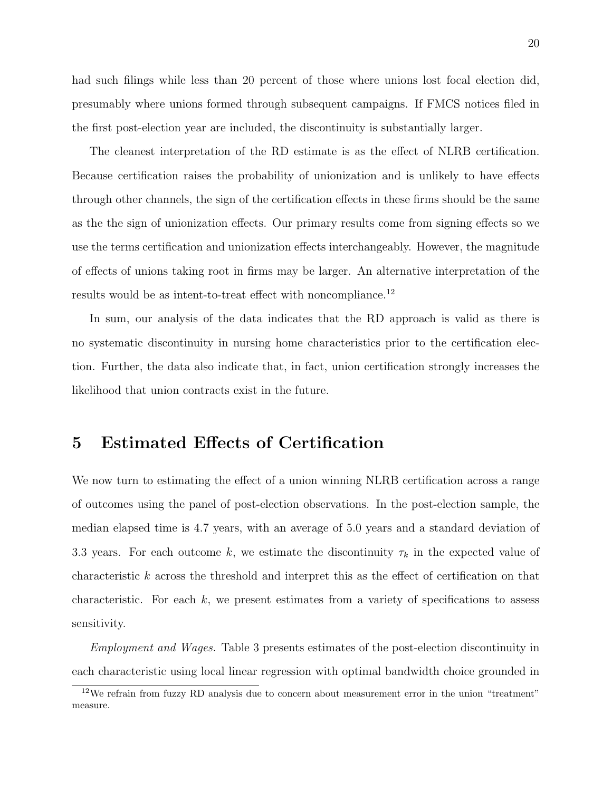had such filings while less than 20 percent of those where unions lost focal election did, presumably where unions formed through subsequent campaigns. If FMCS notices filed in the first post-election year are included, the discontinuity is substantially larger.

The cleanest interpretation of the RD estimate is as the effect of NLRB certification. Because certification raises the probability of unionization and is unlikely to have effects through other channels, the sign of the certification effects in these firms should be the same as the the sign of unionization effects. Our primary results come from signing effects so we use the terms certification and unionization effects interchangeably. However, the magnitude of effects of unions taking root in firms may be larger. An alternative interpretation of the results would be as intent-to-treat effect with noncompliance.<sup>[12](#page-19-0)</sup>

In sum, our analysis of the data indicates that the RD approach is valid as there is no systematic discontinuity in nursing home characteristics prior to the certification election. Further, the data also indicate that, in fact, union certification strongly increases the likelihood that union contracts exist in the future.

### 5 Estimated Effects of Certification

We now turn to estimating the effect of a union winning NLRB certification across a range of outcomes using the panel of post-election observations. In the post-election sample, the median elapsed time is 4.7 years, with an average of 5.0 years and a standard deviation of 3.3 years. For each outcome k, we estimate the discontinuity  $\tau_k$  in the expected value of characteristic  $k$  across the threshold and interpret this as the effect of certification on that characteristic. For each  $k$ , we present estimates from a variety of specifications to assess sensitivity.

Employment and Wages. Table [3](#page-39-0) presents estimates of the post-election discontinuity in each characteristic using local linear regression with optimal bandwidth choice grounded in

<span id="page-19-0"></span><sup>12</sup>We refrain from fuzzy RD analysis due to concern about measurement error in the union "treatment" measure.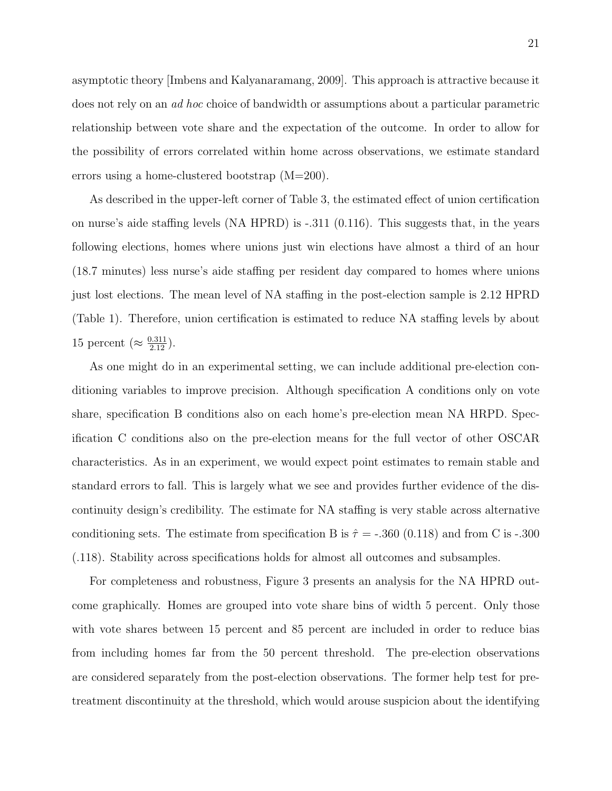asymptotic theory [\[Imbens and Kalyanaramang,](#page-34-8) [2009\]](#page-34-8). This approach is attractive because it does not rely on an ad hoc choice of bandwidth or assumptions about a particular parametric relationship between vote share and the expectation of the outcome. In order to allow for the possibility of errors correlated within home across observations, we estimate standard errors using a home-clustered bootstrap (M=200).

As described in the upper-left corner of Table [3,](#page-39-0) the estimated effect of union certification on nurse's aide staffing levels (NA HPRD) is -.311 (0.116). This suggests that, in the years following elections, homes where unions just win elections have almost a third of an hour (18.7 minutes) less nurse's aide staffing per resident day compared to homes where unions just lost elections. The mean level of NA staffing in the post-election sample is 2.12 HPRD (Table [1\)](#page-37-0). Therefore, union certification is estimated to reduce NA staffing levels by about 15 percent ( $\approx \frac{0.311}{2.12}$ ).

As one might do in an experimental setting, we can include additional pre-election conditioning variables to improve precision. Although specification A conditions only on vote share, specification B conditions also on each home's pre-election mean NA HRPD. Specification C conditions also on the pre-election means for the full vector of other OSCAR characteristics. As in an experiment, we would expect point estimates to remain stable and standard errors to fall. This is largely what we see and provides further evidence of the discontinuity design's credibility. The estimate for NA staffing is very stable across alternative conditioning sets. The estimate from specification B is  $\hat{\tau} = -.360$  (0.118) and from C is -.300 (.118). Stability across specifications holds for almost all outcomes and subsamples.

For completeness and robustness, Figure [3](#page-47-1) presents an analysis for the NA HPRD outcome graphically. Homes are grouped into vote share bins of width 5 percent. Only those with vote shares between 15 percent and 85 percent are included in order to reduce bias from including homes far from the 50 percent threshold. The pre-election observations are considered separately from the post-election observations. The former help test for pretreatment discontinuity at the threshold, which would arouse suspicion about the identifying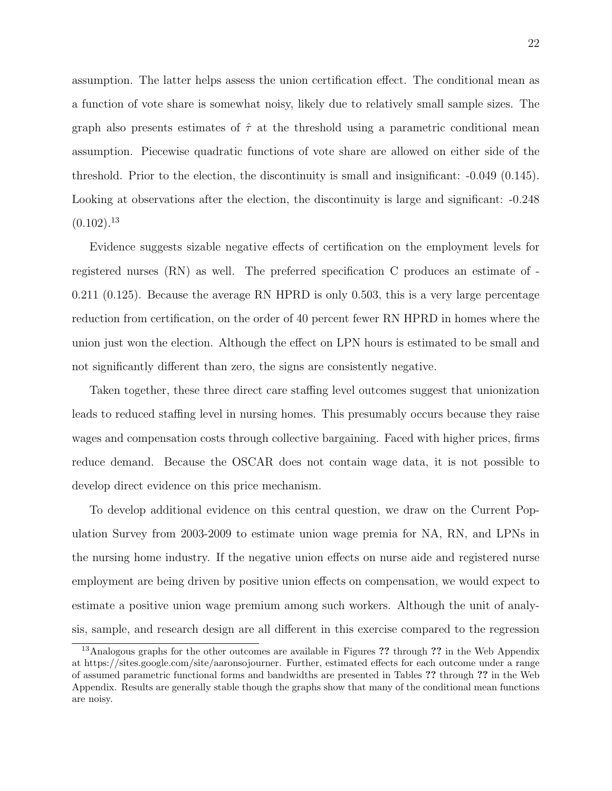assumption. The latter helps assess the union certification effect. The conditional mean as a function of vote share is somewhat noisy, likely due to relatively small sample sizes. The graph also presents estimates of  $\hat{\tau}$  at the threshold using a parametric conditional mean assumption. Piecewise quadratic functions of vote share are allowed on either side of the threshold. Prior to the election, the discontinuity is small and insignificant: -0.049 (0.145). Looking at observations after the election, the discontinuity is large and significant: -0.248  $(0.102).^{13}$  $(0.102).^{13}$  $(0.102).^{13}$ 

Evidence suggests sizable negative effects of certification on the employment levels for registered nurses (RN) as well. The preferred specification C produces an estimate of - 0.211 (0.125). Because the average RN HPRD is only 0.503, this is a very large percentage reduction from certification, on the order of 40 percent fewer RN HPRD in homes where the union just won the election. Although the effect on LPN hours is estimated to be small and not significantly different than zero, the signs are consistently negative.

Taken together, these three direct care staffing level outcomes suggest that unionization leads to reduced staffing level in nursing homes. This presumably occurs because they raise wages and compensation costs through collective bargaining. Faced with higher prices, firms reduce demand. Because the OSCAR does not contain wage data, it is not possible to develop direct evidence on this price mechanism.

To develop additional evidence on this central question, we draw on the Current Population Survey from 2003-2009 to estimate union wage premia for NA, RN, and LPNs in the nursing home industry. If the negative union effects on nurse aide and registered nurse employment are being driven by positive union effects on compensation, we would expect to estimate a positive union wage premium among such workers. Although the unit of analysis, sample, and research design are all different in this exercise compared to the regression

<span id="page-21-0"></span><sup>&</sup>lt;sup>13</sup>Analogous graphs for the other outcomes are available in Figures ?? through ?? in the Web Appendix at https://sites.google.com/site/aaronsojourner. Further, estimated effects for each outcome under a range of assumed parametric functional forms and bandwidths are presented in Tables ?? through ?? in the Web Appendix. Results are generally stable though the graphs show that many of the conditional mean functions are noisy.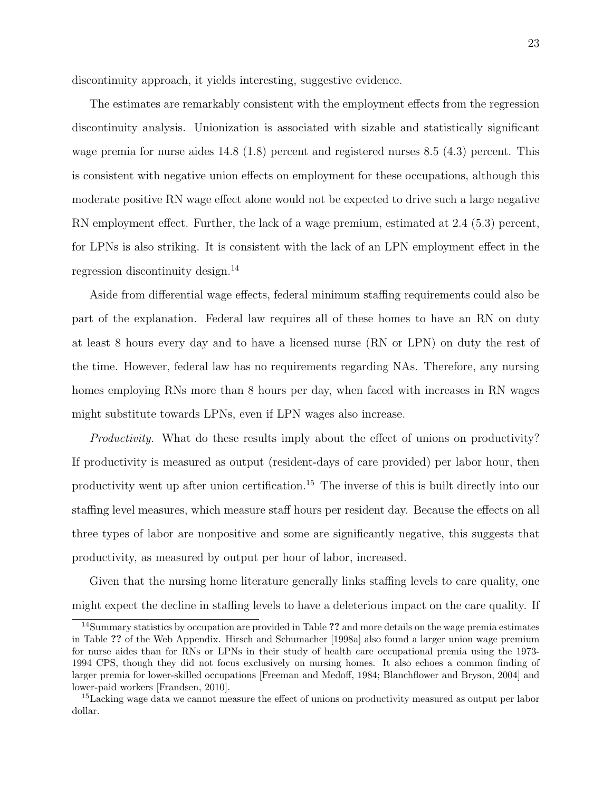discontinuity approach, it yields interesting, suggestive evidence.

The estimates are remarkably consistent with the employment effects from the regression discontinuity analysis. Unionization is associated with sizable and statistically significant wage premia for nurse aides 14.8 (1.8) percent and registered nurses 8.5 (4.3) percent. This is consistent with negative union effects on employment for these occupations, although this moderate positive RN wage effect alone would not be expected to drive such a large negative RN employment effect. Further, the lack of a wage premium, estimated at 2.4 (5.3) percent, for LPNs is also striking. It is consistent with the lack of an LPN employment effect in the regression discontinuity design.[14](#page-22-0)

Aside from differential wage effects, federal minimum staffing requirements could also be part of the explanation. Federal law requires all of these homes to have an RN on duty at least 8 hours every day and to have a licensed nurse (RN or LPN) on duty the rest of the time. However, federal law has no requirements regarding NAs. Therefore, any nursing homes employing RNs more than 8 hours per day, when faced with increases in RN wages might substitute towards LPNs, even if LPN wages also increase.

Productivity. What do these results imply about the effect of unions on productivity? If productivity is measured as output (resident-days of care provided) per labor hour, then productivity went up after union certification.<sup>[15](#page-22-1)</sup> The inverse of this is built directly into our staffing level measures, which measure staff hours per resident day. Because the effects on all three types of labor are nonpositive and some are significantly negative, this suggests that productivity, as measured by output per hour of labor, increased.

Given that the nursing home literature generally links staffing levels to care quality, one might expect the decline in staffing levels to have a deleterious impact on the care quality. If

<span id="page-22-0"></span><sup>&</sup>lt;sup>14</sup>Summary statistics by occupation are provided in Table ?? and more details on the wage premia estimates in Table ?? of the Web Appendix. [Hirsch and Schumacher](#page-34-9) [\[1998a\]](#page-34-9) also found a larger union wage premium for nurse aides than for RNs or LPNs in their study of health care occupational premia using the 1973- 1994 CPS, though they did not focus exclusively on nursing homes. It also echoes a common finding of larger premia for lower-skilled occupations [\[Freeman and Medoff,](#page-33-0) [1984;](#page-33-0) [Blanchflower and Bryson,](#page-32-8) [2004\]](#page-32-8) and lower-paid workers [\[Frandsen,](#page-33-7) [2010\]](#page-33-7).

<span id="page-22-1"></span><sup>&</sup>lt;sup>15</sup>Lacking wage data we cannot measure the effect of unions on productivity measured as output per labor dollar.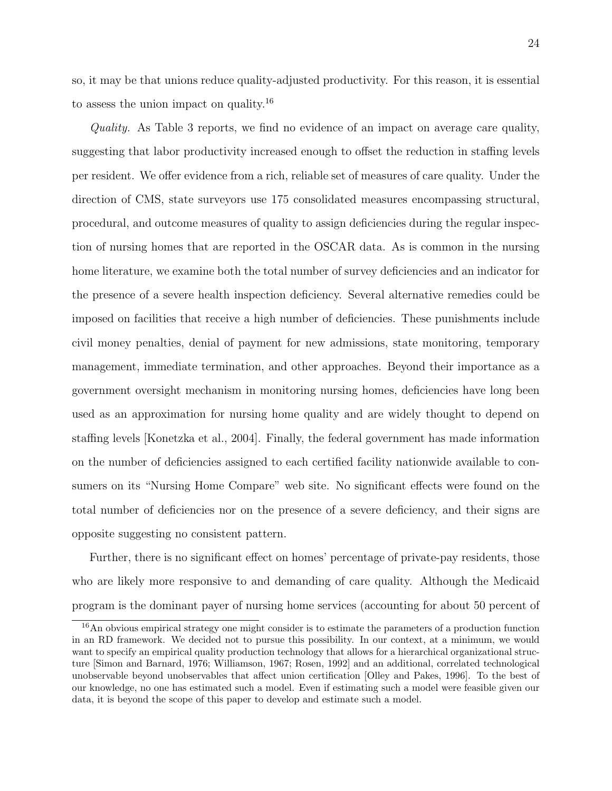so, it may be that unions reduce quality-adjusted productivity. For this reason, it is essential to assess the union impact on quality.[16](#page-23-0)

Quality. As Table [3](#page-39-0) reports, we find no evidence of an impact on average care quality, suggesting that labor productivity increased enough to offset the reduction in staffing levels per resident. We offer evidence from a rich, reliable set of measures of care quality. Under the direction of CMS, state surveyors use 175 consolidated measures encompassing structural, procedural, and outcome measures of quality to assign deficiencies during the regular inspection of nursing homes that are reported in the OSCAR data. As is common in the nursing home literature, we examine both the total number of survey deficiencies and an indicator for the presence of a severe health inspection deficiency. Several alternative remedies could be imposed on facilities that receive a high number of deficiencies. These punishments include civil money penalties, denial of payment for new admissions, state monitoring, temporary management, immediate termination, and other approaches. Beyond their importance as a government oversight mechanism in monitoring nursing homes, deficiencies have long been used as an approximation for nursing home quality and are widely thought to depend on staffing levels [\[Konetzka et al.,](#page-34-10) [2004\]](#page-34-10). Finally, the federal government has made information on the number of deficiencies assigned to each certified facility nationwide available to consumers on its "Nursing Home Compare" web site. No significant effects were found on the total number of deficiencies nor on the presence of a severe deficiency, and their signs are opposite suggesting no consistent pattern.

Further, there is no significant effect on homes' percentage of private-pay residents, those who are likely more responsive to and demanding of care quality. Although the Medicaid program is the dominant payer of nursing home services (accounting for about 50 percent of

<span id="page-23-0"></span><sup>16</sup>An obvious empirical strategy one might consider is to estimate the parameters of a production function in an RD framework. We decided not to pursue this possibility. In our context, at a minimum, we would want to specify an empirical quality production technology that allows for a hierarchical organizational structure [\[Simon and Barnard,](#page-36-4) [1976;](#page-36-4) [Williamson,](#page-36-5) [1967;](#page-36-5) [Rosen,](#page-36-6) [1992\]](#page-36-6) and an additional, correlated technological unobservable beyond unobservables that affect union certification [\[Olley and Pakes,](#page-35-8) [1996\]](#page-35-8). To the best of our knowledge, no one has estimated such a model. Even if estimating such a model were feasible given our data, it is beyond the scope of this paper to develop and estimate such a model.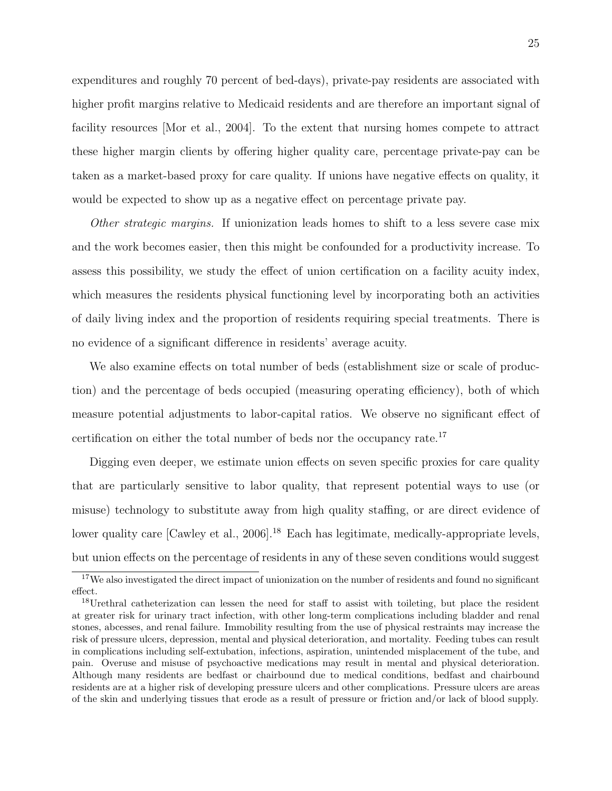expenditures and roughly 70 percent of bed-days), private-pay residents are associated with higher profit margins relative to Medicaid residents and are therefore an important signal of facility resources [\[Mor et al.,](#page-35-9) [2004\]](#page-35-9). To the extent that nursing homes compete to attract these higher margin clients by offering higher quality care, percentage private-pay can be taken as a market-based proxy for care quality. If unions have negative effects on quality, it would be expected to show up as a negative effect on percentage private pay.

Other strategic margins. If unionization leads homes to shift to a less severe case mix and the work becomes easier, then this might be confounded for a productivity increase. To assess this possibility, we study the effect of union certification on a facility acuity index, which measures the residents physical functioning level by incorporating both an activities of daily living index and the proportion of residents requiring special treatments. There is no evidence of a significant difference in residents' average acuity.

We also examine effects on total number of beds (establishment size or scale of production) and the percentage of beds occupied (measuring operating efficiency), both of which measure potential adjustments to labor-capital ratios. We observe no significant effect of certification on either the total number of beds nor the occupancy rate.[17](#page-24-0)

Digging even deeper, we estimate union effects on seven specific proxies for care quality that are particularly sensitive to labor quality, that represent potential ways to use (or misuse) technology to substitute away from high quality staffing, or are direct evidence of lower quality care [\[Cawley et al.,](#page-32-4) [2006\]](#page-32-4).<sup>[18](#page-24-1)</sup> Each has legitimate, medically-appropriate levels, but union effects on the percentage of residents in any of these seven conditions would suggest

<span id="page-24-0"></span><sup>&</sup>lt;sup>17</sup>We also investigated the direct impact of unionization on the number of residents and found no significant effect.

<span id="page-24-1"></span><sup>&</sup>lt;sup>18</sup>Urethral catheterization can lessen the need for staff to assist with toileting, but place the resident at greater risk for urinary tract infection, with other long-term complications including bladder and renal stones, abcesses, and renal failure. Immobility resulting from the use of physical restraints may increase the risk of pressure ulcers, depression, mental and physical deterioration, and mortality. Feeding tubes can result in complications including self-extubation, infections, aspiration, unintended misplacement of the tube, and pain. Overuse and misuse of psychoactive medications may result in mental and physical deterioration. Although many residents are bedfast or chairbound due to medical conditions, bedfast and chairbound residents are at a higher risk of developing pressure ulcers and other complications. Pressure ulcers are areas of the skin and underlying tissues that erode as a result of pressure or friction and/or lack of blood supply.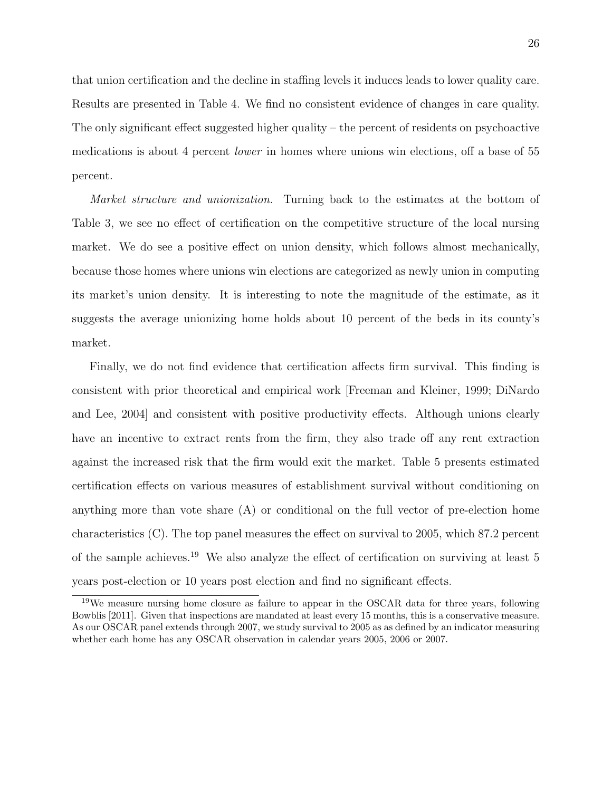that union certification and the decline in staffing levels it induces leads to lower quality care. Results are presented in Table [4.](#page-40-0) We find no consistent evidence of changes in care quality. The only significant effect suggested higher quality – the percent of residents on psychoactive medications is about 4 percent lower in homes where unions win elections, off a base of 55 percent.

Market structure and unionization. Turning back to the estimates at the bottom of Table [3,](#page-39-0) we see no effect of certification on the competitive structure of the local nursing market. We do see a positive effect on union density, which follows almost mechanically, because those homes where unions win elections are categorized as newly union in computing its market's union density. It is interesting to note the magnitude of the estimate, as it suggests the average unionizing home holds about 10 percent of the beds in its county's market.

Finally, we do not find evidence that certification affects firm survival. This finding is consistent with prior theoretical and empirical work [\[Freeman and Kleiner,](#page-33-4) [1999;](#page-33-4) [DiNardo](#page-33-1) [and Lee,](#page-33-1) [2004\]](#page-33-1) and consistent with positive productivity effects. Although unions clearly have an incentive to extract rents from the firm, they also trade off any rent extraction against the increased risk that the firm would exit the market. Table [5](#page-41-0) presents estimated certification effects on various measures of establishment survival without conditioning on anything more than vote share (A) or conditional on the full vector of pre-election home characteristics (C). The top panel measures the effect on survival to 2005, which 87.2 percent of the sample achieves.[19](#page-25-0) We also analyze the effect of certification on surviving at least 5 years post-election or 10 years post election and find no significant effects.

<span id="page-25-0"></span><sup>&</sup>lt;sup>19</sup>We measure nursing home closure as failure to appear in the OSCAR data for three years, following [Bowblis](#page-32-9) [\[2011\]](#page-32-9). Given that inspections are mandated at least every 15 months, this is a conservative measure. As our OSCAR panel extends through 2007, we study survival to 2005 as as defined by an indicator measuring whether each home has any OSCAR observation in calendar years 2005, 2006 or 2007.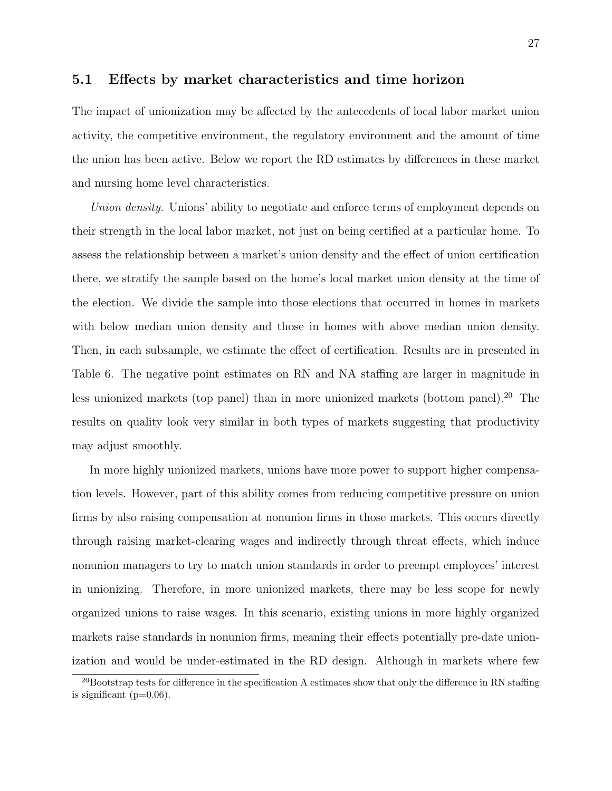#### 5.1 Effects by market characteristics and time horizon

The impact of unionization may be affected by the antecedents of local labor market union activity, the competitive environment, the regulatory environment and the amount of time the union has been active. Below we report the RD estimates by differences in these market and nursing home level characteristics.

Union density. Unions' ability to negotiate and enforce terms of employment depends on their strength in the local labor market, not just on being certified at a particular home. To assess the relationship between a market's union density and the effect of union certification there, we stratify the sample based on the home's local market union density at the time of the election. We divide the sample into those elections that occurred in homes in markets with below median union density and those in homes with above median union density. Then, in each subsample, we estimate the effect of certification. Results are in presented in Table [6.](#page-42-0) The negative point estimates on RN and NA staffing are larger in magnitude in less unionized markets (top panel) than in more unionized markets (bottom panel).<sup>[20](#page-26-0)</sup> The results on quality look very similar in both types of markets suggesting that productivity may adjust smoothly.

In more highly unionized markets, unions have more power to support higher compensation levels. However, part of this ability comes from reducing competitive pressure on union firms by also raising compensation at nonunion firms in those markets. This occurs directly through raising market-clearing wages and indirectly through threat effects, which induce nonunion managers to try to match union standards in order to preempt employees' interest in unionizing. Therefore, in more unionized markets, there may be less scope for newly organized unions to raise wages. In this scenario, existing unions in more highly organized markets raise standards in nonunion firms, meaning their effects potentially pre-date unionization and would be under-estimated in the RD design. Although in markets where few

<span id="page-26-0"></span><sup>&</sup>lt;sup>20</sup>Bootstrap tests for difference in the specification A estimates show that only the difference in RN staffing is significant  $(p=0.06)$ .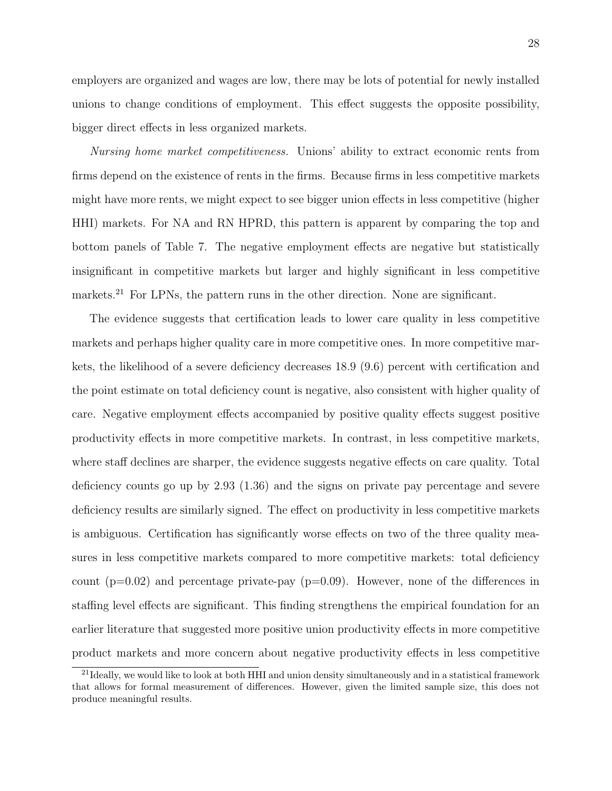employers are organized and wages are low, there may be lots of potential for newly installed unions to change conditions of employment. This effect suggests the opposite possibility, bigger direct effects in less organized markets.

Nursing home market competitiveness. Unions' ability to extract economic rents from firms depend on the existence of rents in the firms. Because firms in less competitive markets might have more rents, we might expect to see bigger union effects in less competitive (higher HHI) markets. For NA and RN HPRD, this pattern is apparent by comparing the top and bottom panels of Table [7.](#page-43-0) The negative employment effects are negative but statistically insignificant in competitive markets but larger and highly significant in less competitive markets.<sup>[21](#page-27-0)</sup> For LPNs, the pattern runs in the other direction. None are significant.

The evidence suggests that certification leads to lower care quality in less competitive markets and perhaps higher quality care in more competitive ones. In more competitive markets, the likelihood of a severe deficiency decreases 18.9 (9.6) percent with certification and the point estimate on total deficiency count is negative, also consistent with higher quality of care. Negative employment effects accompanied by positive quality effects suggest positive productivity effects in more competitive markets. In contrast, in less competitive markets, where staff declines are sharper, the evidence suggests negative effects on care quality. Total deficiency counts go up by 2.93 (1.36) and the signs on private pay percentage and severe deficiency results are similarly signed. The effect on productivity in less competitive markets is ambiguous. Certification has significantly worse effects on two of the three quality measures in less competitive markets compared to more competitive markets: total deficiency count  $(p=0.02)$  and percentage private-pay  $(p=0.09)$ . However, none of the differences in staffing level effects are significant. This finding strengthens the empirical foundation for an earlier literature that suggested more positive union productivity effects in more competitive product markets and more concern about negative productivity effects in less competitive

<span id="page-27-0"></span><sup>&</sup>lt;sup>21</sup>Ideally, we would like to look at both HHI and union density simultaneously and in a statistical framework that allows for formal measurement of differences. However, given the limited sample size, this does not produce meaningful results.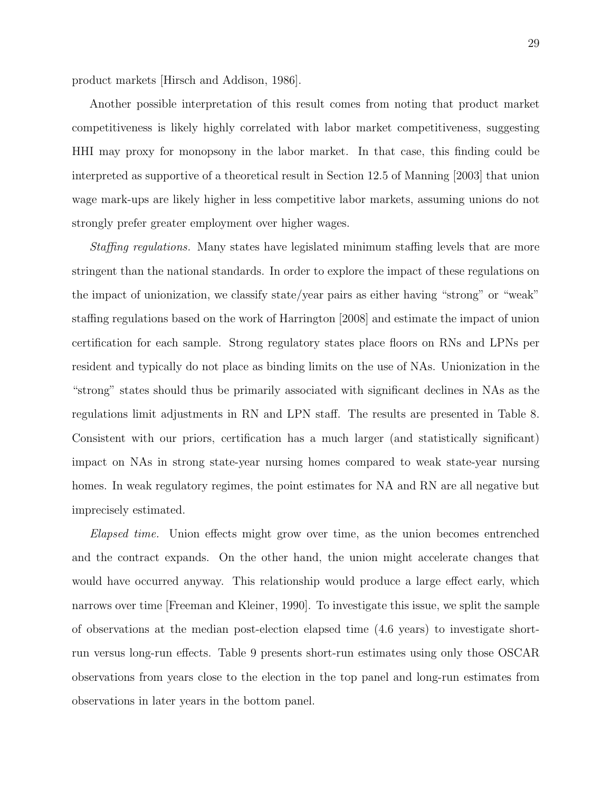product markets [\[Hirsch and Addison,](#page-34-0) [1986\]](#page-34-0).

Another possible interpretation of this result comes from noting that product market competitiveness is likely highly correlated with labor market competitiveness, suggesting HHI may proxy for monopsony in the labor market. In that case, this finding could be interpreted as supportive of a theoretical result in Section 12.5 of [Manning](#page-35-5) [\[2003\]](#page-35-5) that union wage mark-ups are likely higher in less competitive labor markets, assuming unions do not strongly prefer greater employment over higher wages.

Staffing regulations. Many states have legislated minimum staffing levels that are more stringent than the national standards. In order to explore the impact of these regulations on the impact of unionization, we classify state/year pairs as either having "strong" or "weak" staffing regulations based on the work of [Harrington](#page-33-9) [\[2008\]](#page-33-9) and estimate the impact of union certification for each sample. Strong regulatory states place floors on RNs and LPNs per resident and typically do not place as binding limits on the use of NAs. Unionization in the "strong" states should thus be primarily associated with significant declines in NAs as the regulations limit adjustments in RN and LPN staff. The results are presented in Table [8.](#page-44-0) Consistent with our priors, certification has a much larger (and statistically significant) impact on NAs in strong state-year nursing homes compared to weak state-year nursing homes. In weak regulatory regimes, the point estimates for NA and RN are all negative but imprecisely estimated.

Elapsed time. Union effects might grow over time, as the union becomes entrenched and the contract expands. On the other hand, the union might accelerate changes that would have occurred anyway. This relationship would produce a large effect early, which narrows over time [\[Freeman and Kleiner,](#page-33-10) [1990\]](#page-33-10). To investigate this issue, we split the sample of observations at the median post-election elapsed time (4.6 years) to investigate shortrun versus long-run effects. Table [9](#page-45-0) presents short-run estimates using only those OSCAR observations from years close to the election in the top panel and long-run estimates from observations in later years in the bottom panel.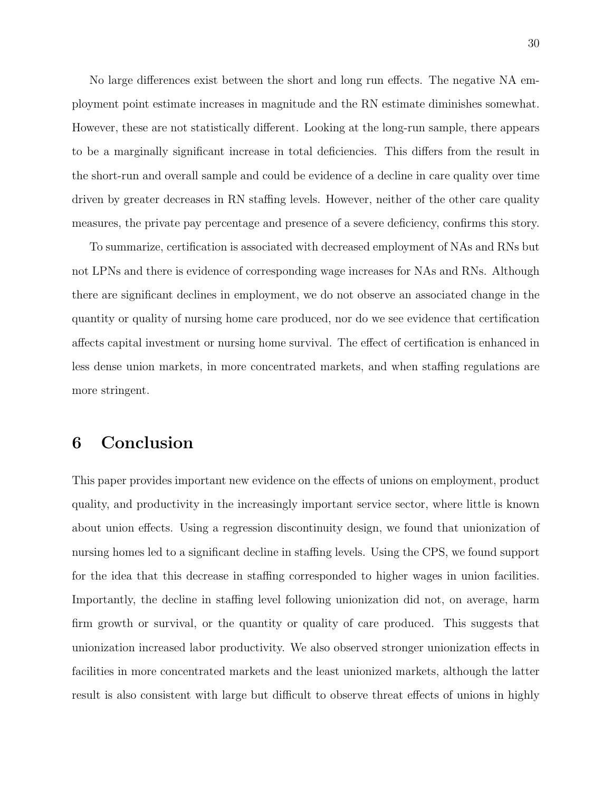No large differences exist between the short and long run effects. The negative NA employment point estimate increases in magnitude and the RN estimate diminishes somewhat. However, these are not statistically different. Looking at the long-run sample, there appears to be a marginally significant increase in total deficiencies. This differs from the result in the short-run and overall sample and could be evidence of a decline in care quality over time driven by greater decreases in RN staffing levels. However, neither of the other care quality measures, the private pay percentage and presence of a severe deficiency, confirms this story.

To summarize, certification is associated with decreased employment of NAs and RNs but not LPNs and there is evidence of corresponding wage increases for NAs and RNs. Although there are significant declines in employment, we do not observe an associated change in the quantity or quality of nursing home care produced, nor do we see evidence that certification affects capital investment or nursing home survival. The effect of certification is enhanced in less dense union markets, in more concentrated markets, and when staffing regulations are more stringent.

### 6 Conclusion

This paper provides important new evidence on the effects of unions on employment, product quality, and productivity in the increasingly important service sector, where little is known about union effects. Using a regression discontinuity design, we found that unionization of nursing homes led to a significant decline in staffing levels. Using the CPS, we found support for the idea that this decrease in staffing corresponded to higher wages in union facilities. Importantly, the decline in staffing level following unionization did not, on average, harm firm growth or survival, or the quantity or quality of care produced. This suggests that unionization increased labor productivity. We also observed stronger unionization effects in facilities in more concentrated markets and the least unionized markets, although the latter result is also consistent with large but difficult to observe threat effects of unions in highly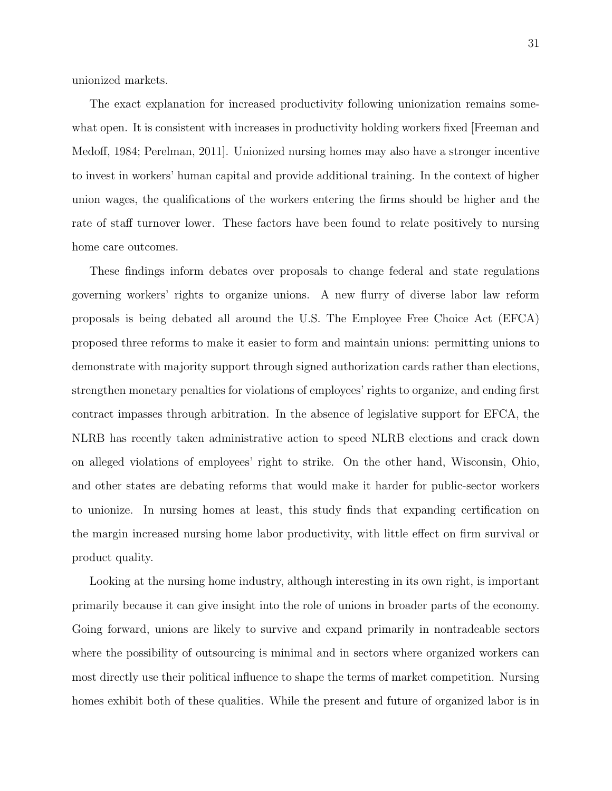unionized markets.

The exact explanation for increased productivity following unionization remains somewhat open. It is consistent with increases in productivity holding workers fixed Freeman and [Medoff,](#page-33-0) [1984;](#page-33-0) [Perelman,](#page-35-10) [2011\]](#page-35-10). Unionized nursing homes may also have a stronger incentive to invest in workers' human capital and provide additional training. In the context of higher union wages, the qualifications of the workers entering the firms should be higher and the rate of staff turnover lower. These factors have been found to relate positively to nursing home care outcomes.

These findings inform debates over proposals to change federal and state regulations governing workers' rights to organize unions. A new flurry of diverse labor law reform proposals is being debated all around the U.S. The Employee Free Choice Act (EFCA) proposed three reforms to make it easier to form and maintain unions: permitting unions to demonstrate with majority support through signed authorization cards rather than elections, strengthen monetary penalties for violations of employees' rights to organize, and ending first contract impasses through arbitration. In the absence of legislative support for EFCA, the NLRB has recently taken administrative action to speed NLRB elections and crack down on alleged violations of employees' right to strike. On the other hand, Wisconsin, Ohio, and other states are debating reforms that would make it harder for public-sector workers to unionize. In nursing homes at least, this study finds that expanding certification on the margin increased nursing home labor productivity, with little effect on firm survival or product quality.

Looking at the nursing home industry, although interesting in its own right, is important primarily because it can give insight into the role of unions in broader parts of the economy. Going forward, unions are likely to survive and expand primarily in nontradeable sectors where the possibility of outsourcing is minimal and in sectors where organized workers can most directly use their political influence to shape the terms of market competition. Nursing homes exhibit both of these qualities. While the present and future of organized labor is in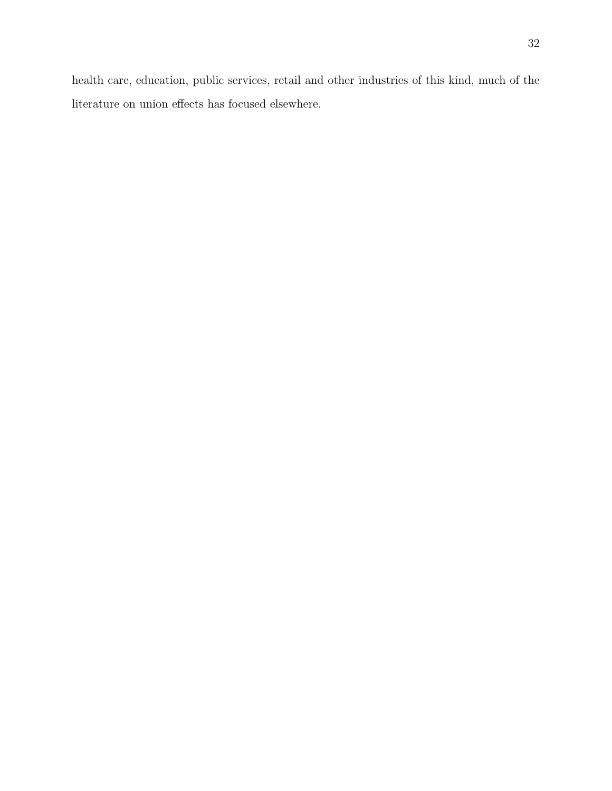health care, education, public services, retail and other industries of this kind, much of the literature on union effects has focused elsewhere.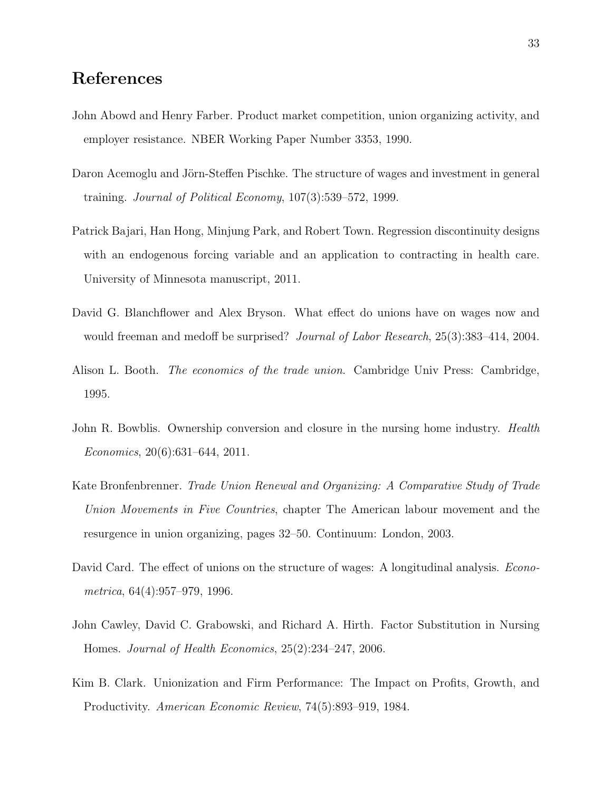### References

- <span id="page-32-5"></span>John Abowd and Henry Farber. Product market competition, union organizing activity, and employer resistance. NBER Working Paper Number 3353, 1990.
- <span id="page-32-3"></span>Daron Acemoglu and Jörn-Steffen Pischke. The structure of wages and investment in general training. Journal of Political Economy, 107(3):539–572, 1999.
- <span id="page-32-6"></span>Patrick Bajari, Han Hong, Minjung Park, and Robert Town. Regression discontinuity designs with an endogenous forcing variable and an application to contracting in health care. University of Minnesota manuscript, 2011.
- <span id="page-32-8"></span>David G. Blanchflower and Alex Bryson. What effect do unions have on wages now and would freeman and medoff be surprised? *Journal of Labor Research*, 25(3):383–414, 2004.
- <span id="page-32-0"></span>Alison L. Booth. *The economics of the trade union*. Cambridge Univ Press: Cambridge, 1995.
- <span id="page-32-9"></span>John R. Bowblis. Ownership conversion and closure in the nursing home industry. *Health* Economics, 20(6):631–644, 2011.
- <span id="page-32-7"></span>Kate Bronfenbrenner. Trade Union Renewal and Organizing: A Comparative Study of Trade Union Movements in Five Countries, chapter The American labour movement and the resurgence in union organizing, pages 32–50. Continuum: London, 2003.
- <span id="page-32-2"></span>David Card. The effect of unions on the structure of wages: A longitudinal analysis. *Econo*metrica, 64(4):957–979, 1996.
- <span id="page-32-4"></span>John Cawley, David C. Grabowski, and Richard A. Hirth. Factor Substitution in Nursing Homes. Journal of Health Economics, 25(2):234–247, 2006.
- <span id="page-32-1"></span>Kim B. Clark. Unionization and Firm Performance: The Impact on Profits, Growth, and Productivity. American Economic Review, 74(5):893–919, 1984.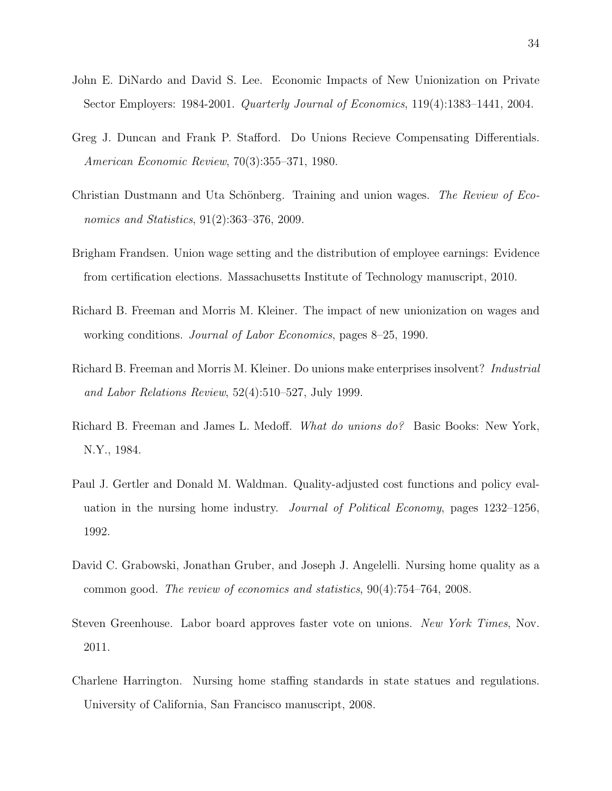- <span id="page-33-1"></span>John E. DiNardo and David S. Lee. Economic Impacts of New Unionization on Private Sector Employers: 1984-2001. Quarterly Journal of Economics, 119(4):1383–1441, 2004.
- <span id="page-33-5"></span>Greg J. Duncan and Frank P. Stafford. Do Unions Recieve Compensating Differentials. American Economic Review, 70(3):355–371, 1980.
- <span id="page-33-6"></span>Christian Dustmann and Uta Schönberg. Training and union wages. The Review of Economics and Statistics, 91(2):363–376, 2009.
- <span id="page-33-7"></span>Brigham Frandsen. Union wage setting and the distribution of employee earnings: Evidence from certification elections. Massachusetts Institute of Technology manuscript, 2010.
- <span id="page-33-10"></span>Richard B. Freeman and Morris M. Kleiner. The impact of new unionization on wages and working conditions. Journal of Labor Economics, pages 8–25, 1990.
- <span id="page-33-4"></span>Richard B. Freeman and Morris M. Kleiner. Do unions make enterprises insolvent? Industrial and Labor Relations Review, 52(4):510–527, July 1999.
- <span id="page-33-0"></span>Richard B. Freeman and James L. Medoff. What do unions do? Basic Books: New York, N.Y., 1984.
- <span id="page-33-2"></span>Paul J. Gertler and Donald M. Waldman. Quality-adjusted cost functions and policy evaluation in the nursing home industry. Journal of Political Economy, pages 1232–1256, 1992.
- <span id="page-33-8"></span>David C. Grabowski, Jonathan Gruber, and Joseph J. Angelelli. Nursing home quality as a common good. The review of economics and statistics, 90(4):754–764, 2008.
- <span id="page-33-3"></span>Steven Greenhouse. Labor board approves faster vote on unions. New York Times, Nov. 2011.
- <span id="page-33-9"></span>Charlene Harrington. Nursing home staffing standards in state statues and regulations. University of California, San Francisco manuscript, 2008.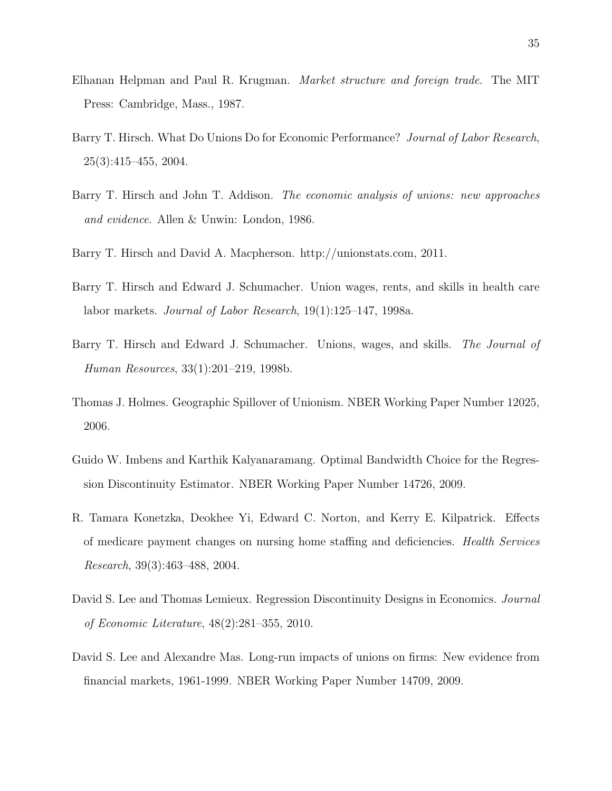- <span id="page-34-3"></span>Elhanan Helpman and Paul R. Krugman. Market structure and foreign trade. The MIT Press: Cambridge, Mass., 1987.
- <span id="page-34-1"></span>Barry T. Hirsch. What Do Unions Do for Economic Performance? Journal of Labor Research, 25(3):415–455, 2004.
- <span id="page-34-0"></span>Barry T. Hirsch and John T. Addison. *The economic analysis of unions: new approaches* and evidence. Allen & Unwin: London, 1986.
- <span id="page-34-4"></span>Barry T. Hirsch and David A. Macpherson. http://unionstats.com, 2011.
- <span id="page-34-9"></span>Barry T. Hirsch and Edward J. Schumacher. Union wages, rents, and skills in health care labor markets. Journal of Labor Research, 19(1):125–147, 1998a.
- <span id="page-34-6"></span>Barry T. Hirsch and Edward J. Schumacher. Unions, wages, and skills. The Journal of Human Resources, 33(1):201–219, 1998b.
- <span id="page-34-2"></span>Thomas J. Holmes. Geographic Spillover of Unionism. NBER Working Paper Number 12025, 2006.
- <span id="page-34-8"></span>Guido W. Imbens and Karthik Kalyanaramang. Optimal Bandwidth Choice for the Regression Discontinuity Estimator. NBER Working Paper Number 14726, 2009.
- <span id="page-34-10"></span>R. Tamara Konetzka, Deokhee Yi, Edward C. Norton, and Kerry E. Kilpatrick. Effects of medicare payment changes on nursing home staffing and deficiencies. Health Services Research, 39(3):463–488, 2004.
- <span id="page-34-7"></span>David S. Lee and Thomas Lemieux. Regression Discontinuity Designs in Economics. Journal of Economic Literature, 48(2):281–355, 2010.
- <span id="page-34-5"></span>David S. Lee and Alexandre Mas. Long-run impacts of unions on firms: New evidence from financial markets, 1961-1999. NBER Working Paper Number 14709, 2009.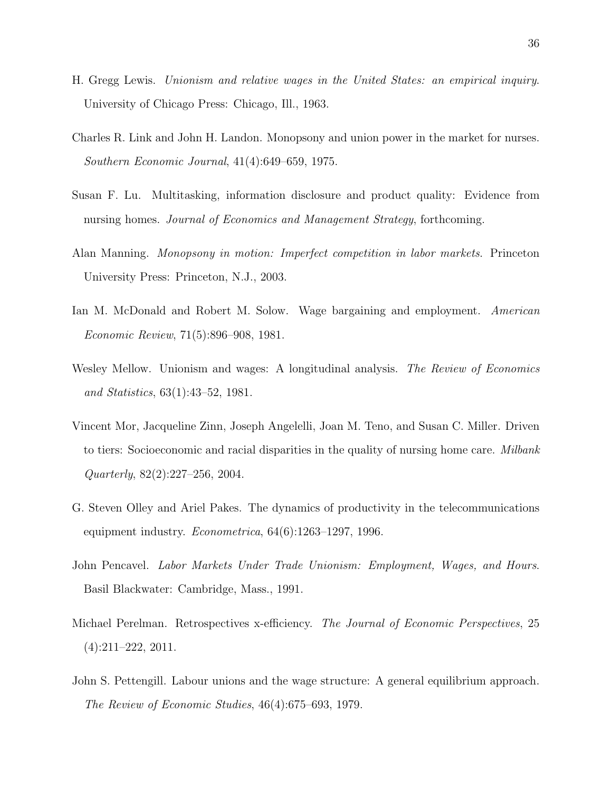- <span id="page-35-1"></span>H. Gregg Lewis. Unionism and relative wages in the United States: an empirical inquiry. University of Chicago Press: Chicago, Ill., 1963.
- <span id="page-35-4"></span>Charles R. Link and John H. Landon. Monopsony and union power in the market for nurses. Southern Economic Journal, 41(4):649–659, 1975.
- <span id="page-35-7"></span>Susan F. Lu. Multitasking, information disclosure and product quality: Evidence from nursing homes. Journal of Economics and Management Strategy, forthcoming.
- <span id="page-35-5"></span>Alan Manning. Monopsony in motion: Imperfect competition in labor markets. Princeton University Press: Princeton, N.J., 2003.
- <span id="page-35-3"></span>Ian M. McDonald and Robert M. Solow. Wage bargaining and employment. American Economic Review, 71(5):896–908, 1981.
- <span id="page-35-0"></span>Wesley Mellow. Unionism and wages: A longitudinal analysis. The Review of Economics and Statistics, 63(1):43–52, 1981.
- <span id="page-35-9"></span>Vincent Mor, Jacqueline Zinn, Joseph Angelelli, Joan M. Teno, and Susan C. Miller. Driven to tiers: Socioeconomic and racial disparities in the quality of nursing home care. *Milbank* Quarterly, 82(2):227–256, 2004.
- <span id="page-35-8"></span>G. Steven Olley and Ariel Pakes. The dynamics of productivity in the telecommunications equipment industry.  $Econometrica$ ,  $64(6):1263-1297$ , 1996.
- <span id="page-35-2"></span>John Pencavel. Labor Markets Under Trade Unionism: Employment, Wages, and Hours. Basil Blackwater: Cambridge, Mass., 1991.
- <span id="page-35-10"></span>Michael Perelman. Retrospectives x-efficiency. The Journal of Economic Perspectives, 25 (4):211–222, 2011.
- <span id="page-35-6"></span>John S. Pettengill. Labour unions and the wage structure: A general equilibrium approach. The Review of Economic Studies, 46(4):675–693, 1979.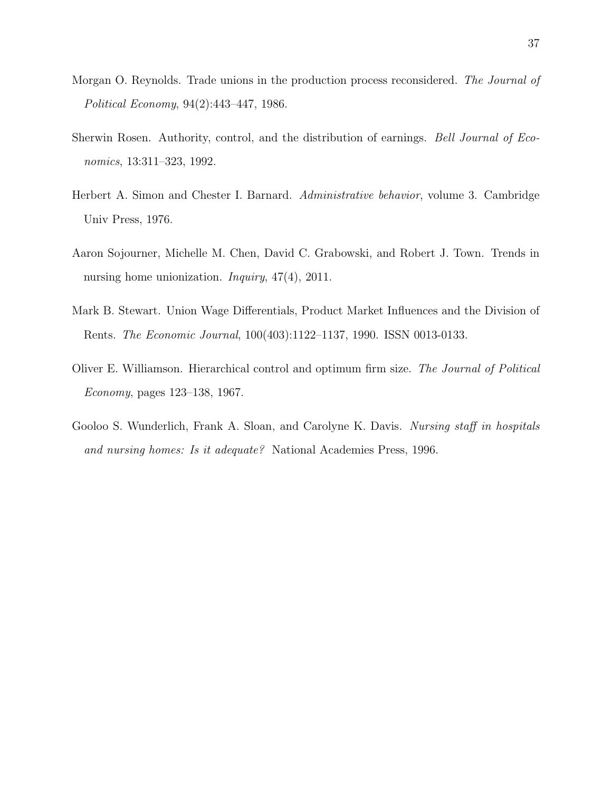- <span id="page-36-3"></span>Morgan O. Reynolds. Trade unions in the production process reconsidered. The Journal of Political Economy, 94(2):443–447, 1986.
- <span id="page-36-6"></span>Sherwin Rosen. Authority, control, and the distribution of earnings. Bell Journal of Economics, 13:311–323, 1992.
- <span id="page-36-4"></span>Herbert A. Simon and Chester I. Barnard. Administrative behavior, volume 3. Cambridge Univ Press, 1976.
- <span id="page-36-1"></span>Aaron Sojourner, Michelle M. Chen, David C. Grabowski, and Robert J. Town. Trends in nursing home unionization. *Inquiry*, 47(4), 2011.
- <span id="page-36-2"></span>Mark B. Stewart. Union Wage Differentials, Product Market Influences and the Division of Rents. The Economic Journal, 100(403):1122–1137, 1990. ISSN 0013-0133.
- <span id="page-36-5"></span>Oliver E. Williamson. Hierarchical control and optimum firm size. The Journal of Political Economy, pages 123–138, 1967.
- <span id="page-36-0"></span>Gooloo S. Wunderlich, Frank A. Sloan, and Carolyne K. Davis. Nursing staff in hospitals and nursing homes: Is it adequate? National Academies Press, 1996.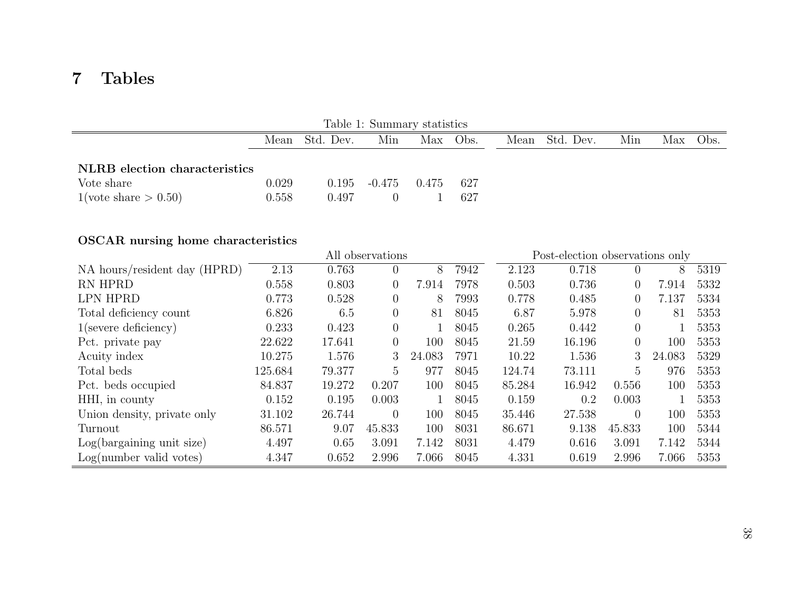## <span id="page-37-0"></span>7 Tables

| Table 1: Summary statistics                                                  |                |                |                 |          |            |                |     |  |          |
|------------------------------------------------------------------------------|----------------|----------------|-----------------|----------|------------|----------------|-----|--|----------|
|                                                                              |                | Mean Std. Dev. | Min             | Max Obs. |            | Mean Std. Dev. | Min |  | Max Obs. |
| NLRB election characteristics<br>Vote share<br>$1(\text{vote share} > 0.50)$ | 0.029<br>0.558 | 0.497          | $0.195 - 0.475$ | 0.475    | 627<br>627 |                |     |  |          |

### OSCAR nursing home characteristics

|                              | All observations |        |                |        | Post-election observations only |        |        |                |        |      |
|------------------------------|------------------|--------|----------------|--------|---------------------------------|--------|--------|----------------|--------|------|
| NA hours/resident day (HPRD) | 2.13             | 0.763  | $\overline{0}$ | 8      | 7942                            | 2.123  | 0.718  | $\theta$       | 8      | 5319 |
| RN HPRD                      | 0.558            | 0.803  | $\overline{0}$ | 7.914  | 7978                            | 0.503  | 0.736  | $\theta$       | 7.914  | 5332 |
| <b>LPN HPRD</b>              | 0.773            | 0.528  | $\Omega$       | 8      | 7993                            | 0.778  | 0.485  | $\overline{0}$ | 7.137  | 5334 |
| Total deficiency count       | 6.826            | 6.5    | $\overline{0}$ | 81     | 8045                            | 6.87   | 5.978  | $\overline{0}$ | 81     | 5353 |
| $1$ (severe deficiency)      | 0.233            | 0.423  | $\overline{0}$ |        | 8045                            | 0.265  | 0.442  | $\theta$       |        | 5353 |
| Pct. private pay             | 22.622           | 17.641 | $\overline{0}$ | 100    | 8045                            | 21.59  | 16.196 | $\theta$       | 100    | 5353 |
| Acuity index                 | 10.275           | 1.576  | 3              | 24.083 | 7971                            | 10.22  | 1.536  | 3              | 24.083 | 5329 |
| Total beds                   | 125.684          | 79.377 | 5              | 977    | 8045                            | 124.74 | 73.111 | 5              | 976    | 5353 |
| Pct. beds occupied           | 84.837           | 19.272 | 0.207          | 100    | 8045                            | 85.284 | 16.942 | 0.556          | 100    | 5353 |
| HHI, in county               | 0.152            | 0.195  | 0.003          |        | 8045                            | 0.159  | 0.2    | 0.003          |        | 5353 |
| Union density, private only  | 31.102           | 26.744 | $\Omega$       | 100    | 8045                            | 35.446 | 27.538 | $\theta$       | 100    | 5353 |
| Turnout                      | 86.571           | 9.07   | 45.833         | 100    | 8031                            | 86.671 | 9.138  | 45.833         | 100    | 5344 |
| Log(bargaining unit size)    | 4.497            | 0.65   | 3.091          | 7.142  | 8031                            | 4.479  | 0.616  | 3.091          | 7.142  | 5344 |
| Log(number valid votes)      | 4.347            | 0.652  | 2.996          | 7.066  | 8045                            | 4.331  | 0.619  | 2.996          | 7.066  | 5353 |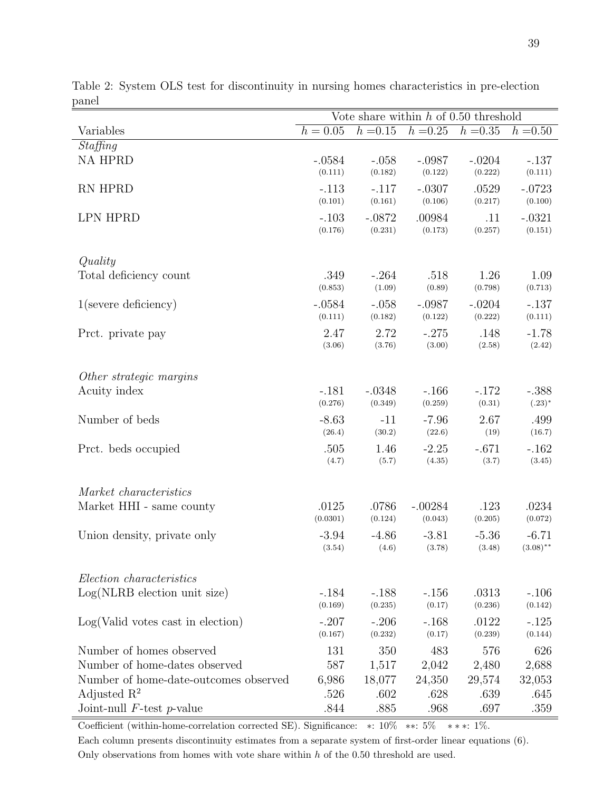|                                       | Vote share within $h$ of 0.50 threshold |                     |                     |                   |                     |  |  |  |
|---------------------------------------|-----------------------------------------|---------------------|---------------------|-------------------|---------------------|--|--|--|
| Variables                             | $h = 0.05$                              | $h = 0.15$          | $h = 0.25$          | $h = 0.35$        | $h = 0.50$          |  |  |  |
| Staffing                              |                                         |                     |                     |                   |                     |  |  |  |
| <b>NA HPRD</b>                        | $-.0584$                                | $-.058$             | $-.0987$            | $-.0204$          | $-.137$             |  |  |  |
|                                       | (0.111)                                 | (0.182)             | (0.122)             | (0.222)           | (0.111)             |  |  |  |
| RN HPRD                               | $-.113$<br>(0.101)                      | $-.117$<br>(0.161)  | $-.0307$<br>(0.106) | .0529<br>(0.217)  | $-.0723$<br>(0.100) |  |  |  |
|                                       |                                         |                     |                     |                   |                     |  |  |  |
| <b>LPN HPRD</b>                       | $-.103$<br>(0.176)                      | $-.0872$<br>(0.231) | .00984<br>(0.173)   | .11<br>(0.257)    | $-.0321$<br>(0.151) |  |  |  |
|                                       |                                         |                     |                     |                   |                     |  |  |  |
| Quality                               |                                         |                     |                     |                   |                     |  |  |  |
| Total deficiency count                | .349                                    | $-.264$             | .518                | 1.26              | 1.09                |  |  |  |
|                                       | (0.853)                                 | (1.09)              | (0.89)              | (0.798)           | (0.713)             |  |  |  |
| $1$ (severe deficiency)               | $-.0584$                                | $-.058$             | $-.0987$            | $-.0204$          | $-.137$             |  |  |  |
|                                       | (0.111)                                 | (0.182)             | (0.122)             | (0.222)           | (0.111)             |  |  |  |
| Prct. private pay                     | 2.47                                    | 2.72                | $-.275$             | .148              | $-1.78$             |  |  |  |
|                                       | (3.06)                                  | (3.76)              | (3.00)              | (2.58)            | (2.42)              |  |  |  |
|                                       |                                         |                     |                     |                   |                     |  |  |  |
| Other strategic margins               |                                         |                     |                     |                   |                     |  |  |  |
| Acuity index                          | $-.181$<br>(0.276)                      | $-.0348$<br>(0.349) | $-.166$<br>(0.259)  | $-.172$<br>(0.31) | $-.388$<br>$(.23)*$ |  |  |  |
| Number of beds                        | $-8.63$                                 | $-11$               | $-7.96$             | 2.67              | .499                |  |  |  |
|                                       | (26.4)                                  | (30.2)              | (22.6)              | (19)              | (16.7)              |  |  |  |
| Prct. beds occupied                   | .505                                    | 1.46                | $-2.25$             | $-.671$           | $-.162$             |  |  |  |
|                                       | (4.7)                                   | (5.7)               | (4.35)              | (3.7)             | (3.45)              |  |  |  |
|                                       |                                         |                     |                     |                   |                     |  |  |  |
| Market characteristics                |                                         |                     |                     |                   |                     |  |  |  |
| Market HHI - same county              | .0125                                   | .0786               | $-.00284$           | .123              | .0234               |  |  |  |
|                                       | (0.0301)                                | (0.124)             | (0.043)             | (0.205)           | (0.072)             |  |  |  |
| Union density, private only           | $-3.94$                                 | $-4.86$             | $-3.81$             | $-5.36$           | $-6.71$             |  |  |  |
|                                       | (3.54)                                  | (4.6)               | (3.78)              | (3.48)            | $(3.08)$ **         |  |  |  |
|                                       |                                         |                     |                     |                   |                     |  |  |  |
| Election characteristics              |                                         |                     |                     |                   |                     |  |  |  |
| $Log(NLRB)$ election unit size)       | $-.184$<br>(0.169)                      | $-.188$<br>(0.235)  | $-156$<br>(0.17)    | .0313<br>(0.236)  | $-.106$<br>(0.142)  |  |  |  |
| Log(Valid votes cast in election)     | $-.207$                                 | $-.206$             | $-.168$             | .0122             | $-.125$             |  |  |  |
|                                       | (0.167)                                 | (0.232)             | (0.17)              | (0.239)           | (0.144)             |  |  |  |
| Number of homes observed              | 131                                     | 350                 | 483                 | 576               | 626                 |  |  |  |
| Number of home-dates observed         | 587                                     | 1,517               | 2,042               | 2,480             | 2,688               |  |  |  |
| Number of home-date-outcomes observed | 6,986                                   | 18,077              | 24,350              | 29,574            | 32,053              |  |  |  |
| Adjusted $\mathbb{R}^2$               | .526                                    | .602                | .628                | .639              | .645                |  |  |  |
| Joint-null $F$ -test $p$ -value       | .844                                    | .885                | .968                | .697              | .359                |  |  |  |

<span id="page-38-0"></span>Table 2: System OLS test for discontinuity in nursing homes characteristics in pre-election panel

Coefficient (within-home-correlation corrected SE). Significance: ∗: 10% ∗∗: 5% ∗ ∗ ∗: 1%.

Each column presents discontinuity estimates from a separate system of first-order linear equations [\(6\)](#page-17-2). Only observations from homes with vote share within  $h$  of the 0.50 threshold are used.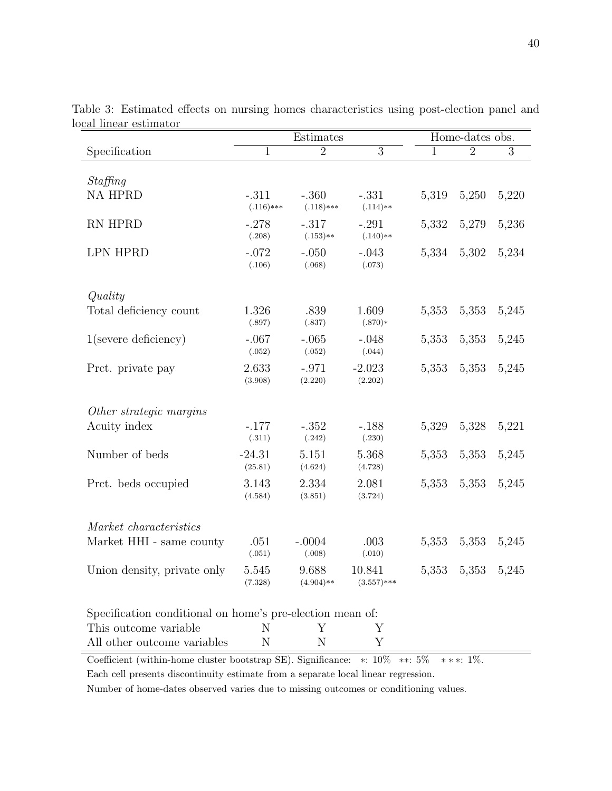|                                                           | Estimates              |                         |                        | Home-dates obs. |                |       |  |
|-----------------------------------------------------------|------------------------|-------------------------|------------------------|-----------------|----------------|-------|--|
| Specification                                             | 1                      | $\overline{2}$          | $\overline{3}$         | 1               | $\overline{2}$ | 3     |  |
|                                                           |                        |                         |                        |                 |                |       |  |
| Staffing                                                  |                        |                         |                        |                 |                |       |  |
| <b>NA HPRD</b>                                            | $-.311$<br>$(.116)***$ | $-.360$<br>$(.118)$ *** | $-.331$<br>$(.114)**$  | 5,319           | 5,250          | 5,220 |  |
| RN HPRD                                                   | $-.278$<br>(.208)      | $-.317$<br>$(.153)**$   | $-.291$<br>$(.140)**$  | 5,332           | 5,279          | 5,236 |  |
| <b>LPN HPRD</b>                                           | $-.072$<br>(.106)      | $-.050$<br>(.068)       | $-.043$<br>(.073)      | 5,334           | 5,302          | 5,234 |  |
| Quality                                                   |                        |                         |                        |                 |                |       |  |
| Total deficiency count                                    | 1.326<br>(.897)        | .839<br>(.837)          | 1.609<br>$(.870)*$     | 5,353           | 5,353          | 5,245 |  |
| $1$ (severe deficiency)                                   | $-.067$<br>(.052)      | $-.065$<br>(.052)       | $-.048$<br>(.044)      | 5,353           | 5,353          | 5,245 |  |
| Prct. private pay                                         | 2.633<br>(3.908)       | $-.971$<br>(2.220)      | $-2.023$<br>(2.202)    | 5,353           | 5,353          | 5,245 |  |
| Other strategic margins                                   |                        |                         |                        |                 |                |       |  |
| Acuity index                                              | $-.177$<br>(.311)      | $-.352$<br>(.242)       | $-.188$<br>(.230)      | 5,329           | 5,328          | 5,221 |  |
| Number of beds                                            | $-24.31$<br>(25.81)    | 5.151<br>(4.624)        | 5.368<br>(4.728)       | 5,353           | 5,353          | 5,245 |  |
| Prct. beds occupied                                       | 3.143<br>(4.584)       | 2.334<br>(3.851)        | 2.081<br>(3.724)       | 5,353           | 5,353          | 5,245 |  |
| Market characteristics                                    |                        |                         |                        |                 |                |       |  |
| Market HHI - same county                                  | .051<br>(.051)         | $-.0004$<br>(.008)      | .003<br>(.010)         | 5,353           | 5,353          | 5,245 |  |
| Union density, private only                               | 5.545<br>(7.328)       | 9.688<br>$(4.904)**$    | 10.841<br>$(3.557)***$ | 5,353           | 5,353          | 5,245 |  |
| Specification conditional on home's pre-election mean of: |                        |                         |                        |                 |                |       |  |
| This outcome variable                                     | N                      | Υ                       | Υ                      |                 |                |       |  |
| All other outcome variables                               | N                      | N                       | Υ                      |                 |                |       |  |

<span id="page-39-0"></span>Table 3: Estimated effects on nursing homes characteristics using post-election panel and local linear estimator

Coefficient (within-home cluster bootstrap SE). Significance: ∗: 10% ∗∗: 5% ∗ ∗ ∗: 1%.

Each cell presents discontinuity estimate from a separate local linear regression.

Number of home-dates observed varies due to missing outcomes or conditioning values.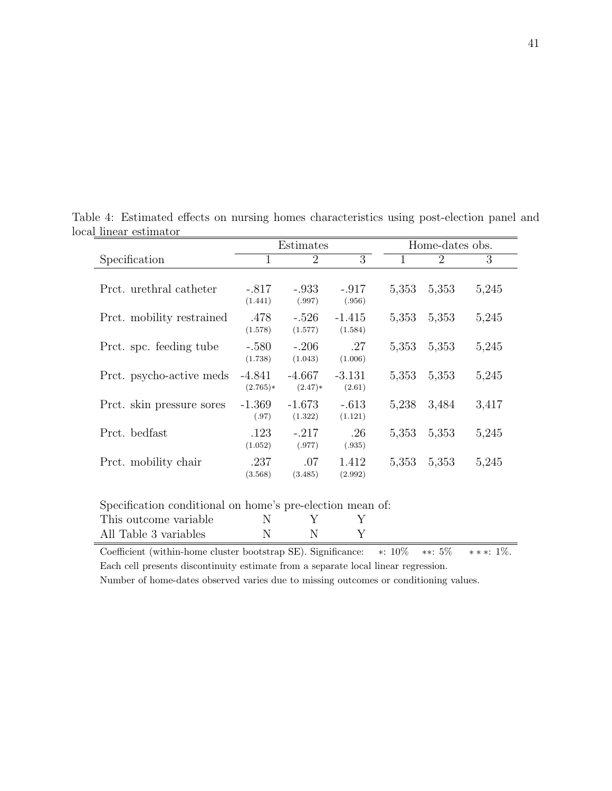<span id="page-40-0"></span>

|                                                                                                          |                        | Estimates             |                     |       | Home-dates obs. |       |  |  |
|----------------------------------------------------------------------------------------------------------|------------------------|-----------------------|---------------------|-------|-----------------|-------|--|--|
| Specification                                                                                            | $\mathbf 1$            | $\overline{2}$        | 3                   | 1     | $\overline{2}$  | 3     |  |  |
| Prct. urethral catheter                                                                                  | $-.817$<br>(1.441)     | $-.933$<br>(.997)     | $-.917$<br>(.956)   | 5,353 | 5,353           | 5,245 |  |  |
| Prct. mobility restrained                                                                                | .478<br>(1.578)        | $-.526$<br>(1.577)    | $-1.415$<br>(1.584) | 5,353 | 5,353           | 5,245 |  |  |
| Prct. spc. feeding tube                                                                                  | $-.580$<br>(1.738)     | $-.206$<br>(1.043)    | .27<br>(1.006)      | 5,353 | 5,353           | 5,245 |  |  |
| Prct. psycho-active meds                                                                                 | $-4.841$<br>$(2.765)*$ | $-4.667$<br>$(2.47)*$ | $-3.131$<br>(2.61)  | 5,353 | 5,353           | 5,245 |  |  |
| Prct. skin pressure sores                                                                                | $-1.369$<br>(.97)      | $-1.673$<br>(1.322)   | $-.613$<br>(1.121)  | 5,238 | 3,484           | 3,417 |  |  |
| Prct. bedfast                                                                                            | .123<br>(1.052)        | $-.217$<br>(.977)     | .26<br>(.935)       | 5,353 | 5,353           | 5,245 |  |  |
| Prct. mobility chair                                                                                     | .237<br>(3.568)        | .07<br>(3.485)        | 1.412<br>(2.992)    | 5,353 | 5,353           | 5,245 |  |  |
| Specification conditional on home's pre-election mean of:<br>This outcome variable<br>$N$ and $N$<br>V V |                        |                       |                     |       |                 |       |  |  |

Table 4: Estimated effects on nursing homes characteristics using post-election panel and local linear estimator  $=$ 

| This outcome variable |  |  |
|-----------------------|--|--|
| All Table 3 variables |  |  |

Coefficient (within-home cluster bootstrap SE). Significance: ∗: 10% ∗∗: 5% ∗ ∗ ∗: 1%. Each cell presents discontinuity estimate from a separate local linear regression.

Number of home-dates observed varies due to missing outcomes or conditioning values.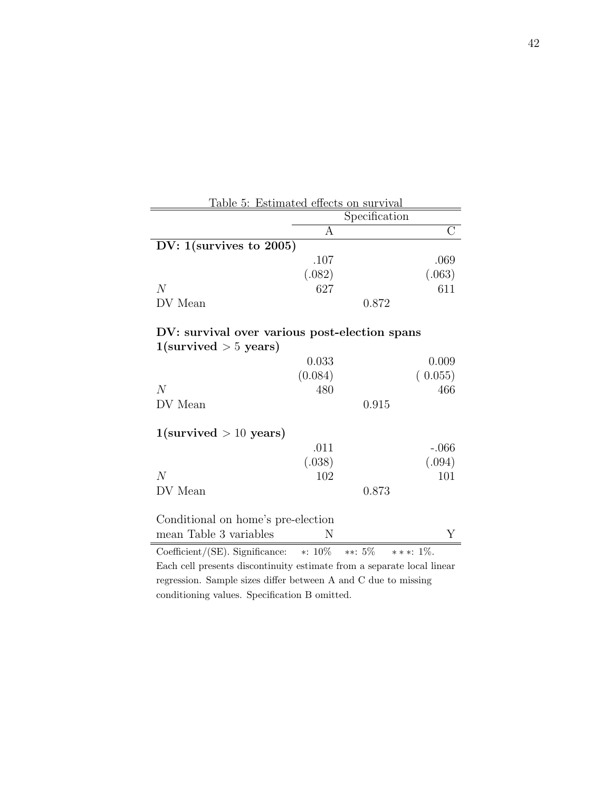<span id="page-41-0"></span>

| <u>Table 5: Estimated effects on survival</u>                          |         |                             |         |  |  |  |  |  |
|------------------------------------------------------------------------|---------|-----------------------------|---------|--|--|--|--|--|
|                                                                        |         | Specification               |         |  |  |  |  |  |
|                                                                        | A       |                             |         |  |  |  |  |  |
| DV: $1$ (survives to 2005)                                             |         |                             |         |  |  |  |  |  |
|                                                                        | .107    |                             | .069    |  |  |  |  |  |
|                                                                        | (.082)  |                             | (.063)  |  |  |  |  |  |
| N                                                                      | 627     |                             | 611     |  |  |  |  |  |
| DV Mean                                                                |         | 0.872                       |         |  |  |  |  |  |
|                                                                        |         |                             |         |  |  |  |  |  |
| DV: survival over various post-election spans                          |         |                             |         |  |  |  |  |  |
| $1$ (survived $> 5$ years)                                             |         |                             |         |  |  |  |  |  |
|                                                                        | 0.033   |                             | 0.009   |  |  |  |  |  |
|                                                                        | (0.084) |                             | (0.055) |  |  |  |  |  |
| N                                                                      | 480     |                             | 466     |  |  |  |  |  |
| DV Mean                                                                |         | 0.915                       |         |  |  |  |  |  |
| $1$ (survived $> 10$ years)                                            |         |                             |         |  |  |  |  |  |
|                                                                        | .011    |                             | $-.066$ |  |  |  |  |  |
|                                                                        | (.038)  |                             |         |  |  |  |  |  |
| N                                                                      |         |                             | (.094)  |  |  |  |  |  |
|                                                                        | 102     |                             | 101     |  |  |  |  |  |
| DV Mean                                                                |         | 0.873                       |         |  |  |  |  |  |
| Conditional on home's pre-election                                     |         |                             |         |  |  |  |  |  |
| mean Table 3 variables                                                 | N       |                             | Υ       |  |  |  |  |  |
| Coefficient/(SE). Significance: $*: 10\%$                              |         | $**: 5\%$<br>* * *: $1\%$ . |         |  |  |  |  |  |
| Each cell presents discontinuity estimate from a separate local linear |         |                             |         |  |  |  |  |  |
| regression. Sample sizes differ between A and C due to missing         |         |                             |         |  |  |  |  |  |

conditioning values. Specification B omitted.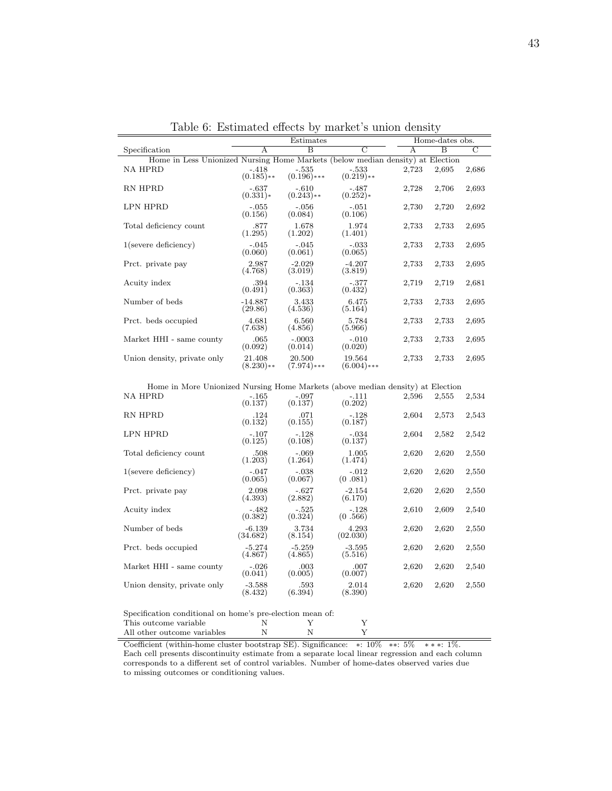|                                                                                |                         | Estimates                | Home-dates obs.         |       |                |       |
|--------------------------------------------------------------------------------|-------------------------|--------------------------|-------------------------|-------|----------------|-------|
| Specification                                                                  | A                       | $\overline{B}$           | C                       | A     | $\overline{B}$ | С     |
| Home in Less Unionized Nursing Home Markets (below median density) at Election |                         |                          |                         |       |                |       |
| <b>NA HPRD</b>                                                                 | $-.418$<br>$(0.185)$ ** | $-.535$<br>$(0.196)$ *** | $-.533$<br>$(0.219)$ ** | 2,723 | 2,695          | 2,686 |
| <b>RN HPRD</b>                                                                 | $-.637$<br>$(0.331)*$   | $-.610$<br>$(0.243)$ **  | $-.487$<br>$(0.252)*$   | 2,728 | 2,706          | 2,693 |
| LPN HPRD                                                                       | $-.055$<br>(0.156)      | $-.056$<br>(0.084)       | $-.051$<br>(0.106)      | 2,730 | 2,720          | 2,692 |
| Total deficiency count                                                         | .877<br>(1.295)         | 1.678<br>(1.202)         | 1.974<br>(1.401)        | 2,733 | 2,733          | 2,695 |
| $1$ (severe deficiency)                                                        | $-.045$<br>(0.060)      | $-.045$<br>(0.061)       | $-.033$<br>(0.065)      | 2,733 | 2,733          | 2,695 |
| Prct. private pay                                                              | 2.987<br>(4.768)        | $-2.029$<br>(3.019)      | $-4.207$<br>(3.819)     | 2,733 | 2,733          | 2,695 |
| Acuity index                                                                   | .394<br>(0.491)         | $-.134$<br>(0.363)       | $-.377$<br>(0.432)      | 2,719 | 2,719          | 2,681 |
| Number of beds                                                                 | $-14.887$<br>(29.86)    | 3.433<br>(4.536)         | 6.475<br>(5.164)        | 2,733 | 2,733          | 2,695 |
| Prct. beds occupied                                                            | 4.681<br>(7.638)        | 6.560<br>(4.856)         | 5.784<br>(5.966)        | 2,733 | 2,733          | 2,695 |
| Market HHI - same county                                                       | .065<br>(0.092)         | $-.0003$<br>(0.014)      | $-.010$<br>(0.020)      | 2,733 | 2,733          | 2,695 |
| Union density, private only                                                    | 21.408<br>$(8.230)**$   | 20.500<br>$(7.974)$ ***  | 19.564<br>$(6.004)$ *** | 2,733 | 2,733          | 2,695 |
|                                                                                |                         |                          |                         |       |                |       |

<span id="page-42-0"></span>Table 6: Estimated effects by market's union density

Home in More Unionized Nursing Home Markets (above median density) at Election

| <b>NA HPRD</b>              | $-.165$<br>(0.137)   | $-.097$<br>(0.137)  | $-.111$<br>(0.202)  | 2,596 | 2,555 | 2,534 |
|-----------------------------|----------------------|---------------------|---------------------|-------|-------|-------|
| RN HPRD                     | .124<br>(0.132)      | .071<br>(0.155)     | $-.128$<br>(0.187)  | 2,604 | 2,573 | 2,543 |
| LPN HPRD                    | $-.107$<br>(0.125)   | $-.128$<br>(0.108)  | $-.034$<br>(0.137)  | 2,604 | 2,582 | 2,542 |
| Total deficiency count      | .508<br>(1.203)      | $-.069$<br>(1.264)  | 1.005<br>(1.474)    | 2,620 | 2,620 | 2,550 |
| $1$ (severe deficiency)     | $-.047$<br>(0.065)   | $-.038$<br>(0.067)  | $-.012$<br>(0.081)  | 2,620 | 2,620 | 2,550 |
| Prct. private pay           | 2.098<br>(4.393)     | $-.627$<br>(2.882)  | $-2.154$<br>(6.170) | 2,620 | 2,620 | 2,550 |
| Acuity index                | $-.482$<br>(0.382)   | $-.525$<br>(0.324)  | $-.128$<br>(0.566)  | 2,610 | 2,609 | 2,540 |
| Number of beds              | $-6.139$<br>(34.682) | 3.734<br>(8.154)    | 4.293<br>(02.030)   | 2,620 | 2,620 | 2,550 |
| Prct. beds occupied         | $-5.274$<br>(4.867)  | $-5.259$<br>(4.865) | $-3.595$<br>(5.516) | 2,620 | 2,620 | 2,550 |
| Market HHI - same county    | $-.026$<br>(0.041)   | .003<br>(0.005)     | .007<br>(0.007)     | 2,620 | 2,620 | 2,540 |
| Union density, private only | $-3.588$<br>(8.432)  | .593<br>(6.394)     | 2.014<br>(8.390)    | 2,620 | 2,620 | 2,550 |
|                             |                      |                     |                     |       |       |       |

| Specification conditional on home's pre-election mean of: |  |  |
|-----------------------------------------------------------|--|--|
| This outcome variable                                     |  |  |
| All other outcome variables                               |  |  |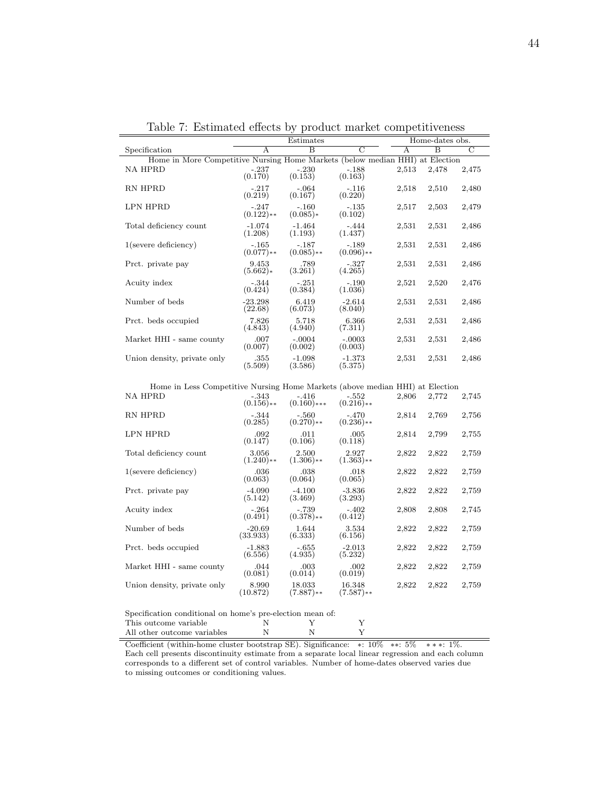|                                                                              |                         | Estimates                |                         | Home-dates obs. |                         |                |
|------------------------------------------------------------------------------|-------------------------|--------------------------|-------------------------|-----------------|-------------------------|----------------|
| Specification                                                                | A                       | $\overline{\mathbf{B}}$  | $\overline{C}$          | А               | $\overline{\mathbf{B}}$ | $\overline{C}$ |
| Home in More Competitive Nursing Home Markets (below median HHI) at Election |                         |                          |                         |                 |                         |                |
| <b>NA HPRD</b>                                                               | $-.237$<br>(0.170)      | $-.230$<br>(0.153)       | $-.188$<br>(0.163)      | 2,513           | 2,478                   | 2,475          |
| RN HPRD                                                                      | $-.217$<br>(0.219)      | $-.064$<br>(0.167)       | $-.116$<br>(0.220)      | 2,518           | 2,510                   | 2,480          |
| LPN HPRD                                                                     | $-.247$<br>$(0.122)**$  | $-.160$<br>$(0.085)*$    | $-135$<br>(0.102)       | 2,517           | 2,503                   | 2,479          |
| Total deficiency count                                                       | $-1.074$<br>(1.208)     | $-1.464$<br>(1.193)      | $-.444$<br>(1.437)      | 2,531           | 2,531                   | 2,486          |
| $1$ (severe deficiency)                                                      | $-165$<br>$(0.077)**$   | $-.187$<br>$(0.085)$ **  | $-.189$<br>$(0.096)$ ** | 2,531           | 2,531                   | 2,486          |
| Prct. private pay                                                            | 9.453<br>$(5.662)*$     | .789<br>(3.261)          | $-.327$<br>(4.265)      | 2,531           | 2,531                   | 2,486          |
| Acuity index                                                                 | $-.344$<br>(0.424)      | $-.251$<br>(0.384)       | $-.190$<br>(1.036)      | 2,521           | 2,520                   | 2,476          |
| Number of beds                                                               | $-23.298$<br>(22.68)    | 6.419<br>(6.073)         | $-2.614$<br>(8.040)     | 2,531           | 2,531                   | 2,486          |
| Prct. beds occupied                                                          | 7.826<br>(4.843)        | 5.718<br>(4.940)         | 6.366<br>(7.311)        | 2,531           | 2,531                   | 2,486          |
| Market HHI - same county                                                     | .007<br>(0.007)         | $-.0004$<br>(0.002)      | $-.0003$<br>(0.003)     | 2,531           | 2,531                   | 2,486          |
| Union density, private only                                                  | .355<br>(5.509)         | $-1.098$<br>(3.586)      | $-1.373$<br>(5.375)     | 2,531           | 2,531                   | 2,486          |
| Home in Less Competitive Nursing Home Markets (above median HHI) at Election |                         |                          |                         |                 |                         |                |
| <b>NA HPRD</b>                                                               | $-.343$<br>$(0.156)$ ** | $-.416$<br>$(0.160)$ *** | $-.552$<br>$(0.216)$ ** | 2,806           | 2,772                   | 2,745          |
| DJI IIDDD                                                                    | 0.11                    | ra <sub>0</sub>          | $\overline{1}$          | 0.011           | $\sim$ $\sim$ $\sim$    |                |

<span id="page-43-0"></span>Table 7: Estimated effects by product market competitiveness

| Home in Less Competitive Nursing Home Markets (above median HHI) at Election |                         |                          |                         |       |       |       |
|------------------------------------------------------------------------------|-------------------------|--------------------------|-------------------------|-------|-------|-------|
| NA HPRD                                                                      | $-.343$<br>$(0.156)$ ** | $-.416$<br>$(0.160)$ *** | $-.552$<br>$(0.216)$ ** | 2,806 | 2,772 | 2,745 |
| <b>RN HPRD</b>                                                               | $-.344$<br>(0.285)      | $-.560$<br>$(0.270)$ **  | $-.470$<br>$(0.236)$ ** | 2,814 | 2,769 | 2,756 |
| <b>LPN HPRD</b>                                                              | .092<br>(0.147)         | .011<br>(0.106)          | .005<br>(0.118)         | 2,814 | 2,799 | 2,755 |
| Total deficiency count                                                       | 3.056<br>$(1.240)**$    | 2.500<br>$(1.306)$ **    | 2.927<br>$(1.363)$ **   | 2,822 | 2,822 | 2,759 |
| $1$ (severe deficiency)                                                      | .036<br>(0.063)         | .038<br>(0.064)          | .018<br>(0.065)         | 2,822 | 2,822 | 2,759 |
| Prct. private pay                                                            | $-4.090$<br>(5.142)     | $-4.100$<br>(3.469)      | $-3.836$<br>(3.293)     | 2,822 | 2,822 | 2,759 |
| Acuity index                                                                 | $-.264$<br>(0.491)      | $-.739$<br>$(0.378)$ **  | $-.402$<br>(0.412)      | 2,808 | 2,808 | 2,745 |
| Number of beds                                                               | $-20.69$<br>(33.933)    | 1.644<br>(6.333)         | 3.534<br>(6.156)        | 2,822 | 2,822 | 2,759 |
| Prct. beds occupied                                                          | $-1.883$<br>(6.556)     | $-.655$<br>(4.935)       | $-2.013$<br>(5.232)     | 2,822 | 2,822 | 2,759 |
| Market HHI - same county                                                     | .044<br>(0.081)         | .003<br>(0.014)          | .002<br>(0.019)         | 2,822 | 2,822 | 2,759 |
| Union density, private only                                                  | 8.990<br>(10.872)       | 18.033<br>$(7.887)$ **   | 16.348<br>$(7.587)$ **  | 2,822 | 2,822 | 2,759 |

| Specification conditional on home's pre-election mean of: |   |  |
|-----------------------------------------------------------|---|--|
| This outcome variable                                     |   |  |
| All other outcome variables                               | N |  |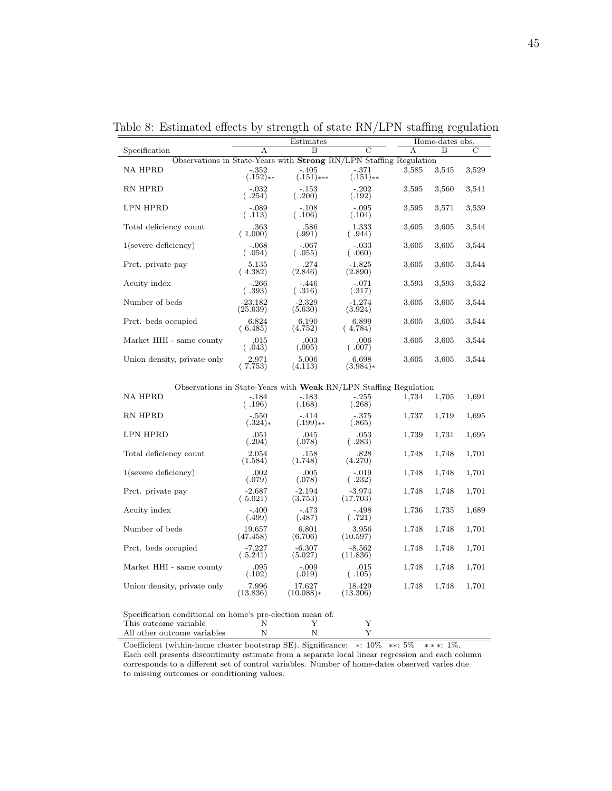|                                                                    | Estimates             |                         |                        | Home-dates obs. |       |        |  |
|--------------------------------------------------------------------|-----------------------|-------------------------|------------------------|-----------------|-------|--------|--|
| Specification                                                      | A                     | $\overline{B}$          |                        | A               | B     | C      |  |
| Observations in State-Years with Strong RN/LPN Staffing Regulation |                       |                         |                        |                 |       |        |  |
| <b>NA HPRD</b>                                                     | $-.352$<br>$(.152)**$ | $-.405$<br>$(.151)$ *** | $-.371$<br>$(.151)$ ** | 3,585           | 3,545 | 3,529  |  |
| RN HPRD                                                            | $-.032$<br>(.254)     | $-.153$<br>(.200)       | $-.202$<br>(.192)      | 3,595           | 3,560 | 3,541  |  |
| <b>LPN HPRD</b>                                                    | $-.089$<br>(.113)     | $-.108$<br>(.106)       | $-.095$<br>(.104)      | 3,595           | 3,571 | 3,539  |  |
| Total deficiency count                                             | .363<br>(1.000)       | .586<br>(.991)          | 1.333<br>(.944)        | 3,605           | 3,605 | 3,544  |  |
| $1$ (severe deficiency)                                            | $-.068$<br>(.054)     | $-.067$<br>(.055)       | $-.033$<br>(0.060)     | 3,605           | 3,605 | 3,544  |  |
| Prct. private pay                                                  | 5.135<br>(4.382)      | .274<br>(2.846)         | $-1.825$<br>(2.890)    | 3,605           | 3,605 | 3,544  |  |
| Acuity index                                                       | $-.266$<br>(.393)     | $-.446$<br>(.316)       | $-.071$<br>(.317)      | 3,593           | 3,593 | 3,532  |  |
| Number of beds                                                     | $-23.182$<br>(25.639) | $-2.329$<br>(5.630)     | $-1.274$<br>(3.924)    | 3,605           | 3,605 | 3,544  |  |
| Prct. beds occupied                                                | 6.824<br>(6.485)      | 6.190<br>(4.752)        | 6.899<br>(4.784)       | 3,605           | 3,605 | 3,544  |  |
| Market HHI - same county                                           | .015<br>(.043)        | .003<br>(.005)          | .006<br>(.007)         | 3,605           | 3,605 | 3,544  |  |
| Union density, private only                                        | 2.971<br>(7.753)      | 5.006<br>(4.113)        | 6.698<br>$(3.984)*$    | 3,605           | 3,605 | 3,544  |  |
| Observations in State-Years with Weak RN/LPN Staffing Regulation   |                       |                         |                        |                 |       |        |  |
| <b>NA HPRD</b>                                                     | $-.184$<br>(.196)     | $-.183$<br>(.168)       | $-.255$<br>(.268)      | 1,734           | 1,705 | 1,691  |  |
| RN HPRD                                                            | $-.550$<br>$(.324)*$  | $-.414$<br>$(.199)$ **  | $-.375$<br>(.865)      | 1,737           | 1,719 | 1,695  |  |
| LPN HPRD                                                           | 051                   | 0.45                    | -053                   | 1 739           | 1 731 | 1.695. |  |

<span id="page-44-0"></span>Table 8: Estimated effects by strength of state RN/LPN staffing regulation

| Observations in State-Years with <b>Weak</b> RN/LPN Staffing Regulation |                      |                       |                      |       |       |       |
|-------------------------------------------------------------------------|----------------------|-----------------------|----------------------|-------|-------|-------|
| <b>NA HPRD</b>                                                          | $-.184$<br>(.196)    | $-.183$<br>(.168)     | $-.255$<br>(.268)    | 1,734 | 1,705 | 1,691 |
| RN HPRD                                                                 | $-.550$<br>$(.324)*$ | $-.414$<br>$(.199)**$ | $-.375$<br>(.865)    | 1,737 | 1,719 | 1,695 |
| LPN HPRD                                                                | .051<br>(.204)       | .045<br>(.078)        | .053<br>(.283)       | 1,739 | 1,731 | 1,695 |
| Total deficiency count                                                  | 2.054<br>(1.584)     | .158<br>(1.748)       | .828<br>(4.270)      | 1,748 | 1,748 | 1,701 |
| $1$ (severe deficiency)                                                 | .002<br>(.079)       | .005<br>(.078)        | $-.019$<br>(.232)    | 1,748 | 1,748 | 1,701 |
| Prct. private pay                                                       | $-2.687$<br>(5.021)  | $-2.194$<br>(3.753)   | $-3.974$<br>(17.703) | 1,748 | 1,748 | 1,701 |
| Acuity index                                                            | $-.400$<br>(.499)    | $-.473$<br>(.487)     | $-.498$<br>(.721)    | 1,736 | 1,735 | 1,689 |
| Number of beds                                                          | 19.657<br>(47.458)   | 6.801<br>(6.706)      | 3.956<br>(10.597)    | 1,748 | 1,748 | 1,701 |
| Prct. beds occupied                                                     | $-7.227$<br>(5.241)  | $-6.307$<br>(5.027)   | $-8.562$<br>(11.836) | 1,748 | 1,748 | 1,701 |
| Market HHI - same county                                                | .095<br>(.102)       | $-.009$<br>(.019)     | .015<br>(.105)       | 1,748 | 1,748 | 1,701 |
| Union density, private only                                             | 7.996<br>(13.836)    | 17.627<br>$(10.088)*$ | 18.429<br>(13.306)   | 1,748 | 1,748 | 1,701 |

| Specification conditional on home's pre-election mean of: |   |  |
|-----------------------------------------------------------|---|--|
| This outcome variable                                     |   |  |
| All other outcome variables                               | N |  |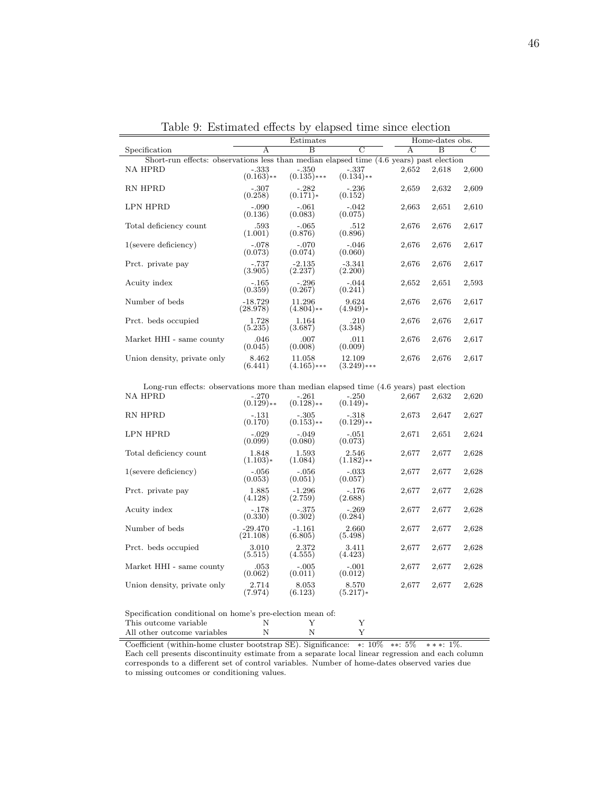|                                                                                         |                         | Estimates                |                         |       | Home-dates obs. |                |  |
|-----------------------------------------------------------------------------------------|-------------------------|--------------------------|-------------------------|-------|-----------------|----------------|--|
| Specification                                                                           | A                       | $\overline{B}$           | $\overline{C}$          | A     | $\overline{B}$  | $\overline{C}$ |  |
| Short-run effects: observations less than median elapsed time (4.6 years) past election |                         |                          |                         |       |                 |                |  |
| NA HPRD                                                                                 | $-.333$<br>$(0.163)$ ** | $-.350$<br>$(0.135)$ *** | $-.337$<br>$(0.134)$ ** | 2,652 | 2,618           | 2,600          |  |
| RN HPRD                                                                                 | $-.307$<br>(0.258)      | $-.282$<br>$(0.171)*$    | $-.236$<br>(0.152)      | 2,659 | 2,632           | 2,609          |  |
| LPN HPRD                                                                                | $-.090$<br>(0.136)      | $-.061$<br>(0.083)       | $-.042$<br>(0.075)      | 2,663 | 2,651           | 2,610          |  |
| Total deficiency count                                                                  | .593<br>(1.001)         | $-.065$<br>(0.876)       | .512<br>(0.896)         | 2,676 | 2,676           | 2,617          |  |
| $1$ (severe deficiency)                                                                 | $-.078$<br>(0.073)      | $-.070$<br>(0.074)       | $-.046$<br>(0.060)      | 2,676 | 2,676           | 2,617          |  |
| Prct. private pay                                                                       | $-.737$<br>(3.905)      | $-2.135$<br>(2.237)      | $-3.341$<br>(2.200)     | 2,676 | 2,676           | 2,617          |  |
| Acuity index                                                                            | $-.165$<br>(0.359)      | $-.296$<br>(0.267)       | $-.044$<br>(0.241)      | 2,652 | 2,651           | 2,593          |  |
| Number of beds                                                                          | $-18.729$<br>(28.978)   | 11.296<br>$(4.804)$ **   | 9.624<br>$(4.949)*$     | 2,676 | 2,676           | 2,617          |  |
| Prct. beds occupied                                                                     | 1.728<br>(5.235)        | 1.164<br>(3.687)         | .210<br>(3.348)         | 2,676 | 2,676           | 2,617          |  |
| Market HHI - same county                                                                | .046<br>(0.045)         | .007<br>(0.008)          | .011<br>(0.009)         | 2,676 | 2,676           | 2,617          |  |
| Union density, private only                                                             | 8.462<br>(6.441)        | 11.058<br>$(4.165)$ ***  | 12.109<br>$(3.249)$ *** | 2,676 | 2,676           | 2,617          |  |

<span id="page-45-0"></span>Table 9: Estimated effects by elapsed time since election

Long-run effects: observations more than median elapsed time (4.6 years) past election

| <b>NA HPRD</b>              | $-.270$<br>$(0.129)$ ** | $-.261$<br>$(0.128)$ ** | $-.250$<br>$(0.149)*$   | 2,667 | 2,632 | 2,620 |
|-----------------------------|-------------------------|-------------------------|-------------------------|-------|-------|-------|
| RN HPRD                     | $-.131$<br>(0.170)      | $-.305$<br>$(0.153)$ ** | $-.318$<br>$(0.129)$ ** | 2,673 | 2,647 | 2,627 |
| LPN HPRD                    | $-.029$<br>(0.099)      | $-.049$<br>(0.080)      | $-.051$<br>(0.073)      | 2,671 | 2,651 | 2,624 |
| Total deficiency count      | 1.848<br>$(1.103)*$     | 1.593<br>(1.084)        | 2.546<br>$(1.182)**$    | 2,677 | 2,677 | 2,628 |
| $1$ (severe deficiency)     | $-.056$<br>(0.053)      | $-.056$<br>(0.051)      | $-.033$<br>(0.057)      | 2,677 | 2,677 | 2,628 |
| Prct. private pay           | 1.885<br>(4.128)        | $-1.296$<br>(2.759)     | $-.176$<br>(2.688)      | 2,677 | 2,677 | 2,628 |
| Acuity index                | $-.178$<br>(0.330)      | $-.375$<br>(0.302)      | $-.269$<br>(0.284)      | 2,677 | 2,677 | 2,628 |
| Number of beds              | $-29.470$<br>(21.108)   | $-1.161$<br>(6.805)     | 2.660<br>(5.498)        | 2,677 | 2,677 | 2,628 |
| Prct. beds occupied         | 3.010<br>(5.515)        | 2.372<br>(4.555)        | 3.411<br>(4.423)        | 2,677 | 2,677 | 2,628 |
| Market HHI - same county    | .053<br>(0.062)         | $-.005$<br>(0.011)      | $-.001$<br>(0.012)      | 2,677 | 2,677 | 2,628 |
| Union density, private only | 2.714<br>(7.974)        | 8.053<br>(6.123)        | 8.570<br>$(5.217)*$     | 2,677 | 2,677 | 2,628 |
|                             |                         |                         |                         |       |       |       |

 $\begin{minipage}[c]{0.9\linewidth} \textbf{Special} & \textbf{if} \textbf{if} \textbf{if} \textbf{if} \textbf{if} \textbf{if} \textbf{if} \textbf{if} \textbf{if} \textbf{if} \textbf{if} \textbf{if} \textbf{if} \textbf{if} \textbf{if} \textbf{if} \textbf{if} \textbf{if} \textbf{if} \textbf{if} \textbf{if} \textbf{if} \textbf{if} \textbf{if} \textbf{if} \textbf{if} \textbf{if} \textbf{if} \textbf{if} \textbf{if} \textbf{if} \textbf{if} \textbf{if}$ This outcome variable N Y Y All other outcome variables  $\hfill N$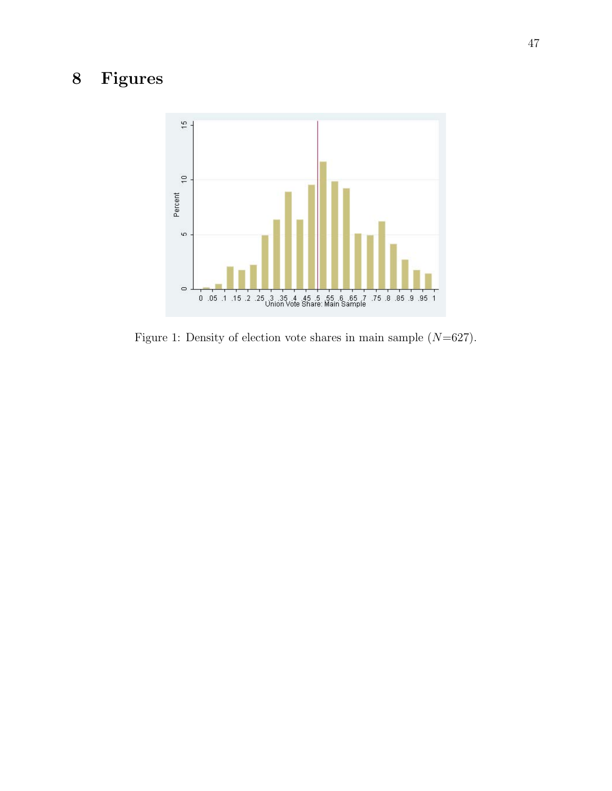## 8 Figures



<span id="page-46-0"></span>Figure 1: Density of election vote shares in main sample  $(N=627)$ .